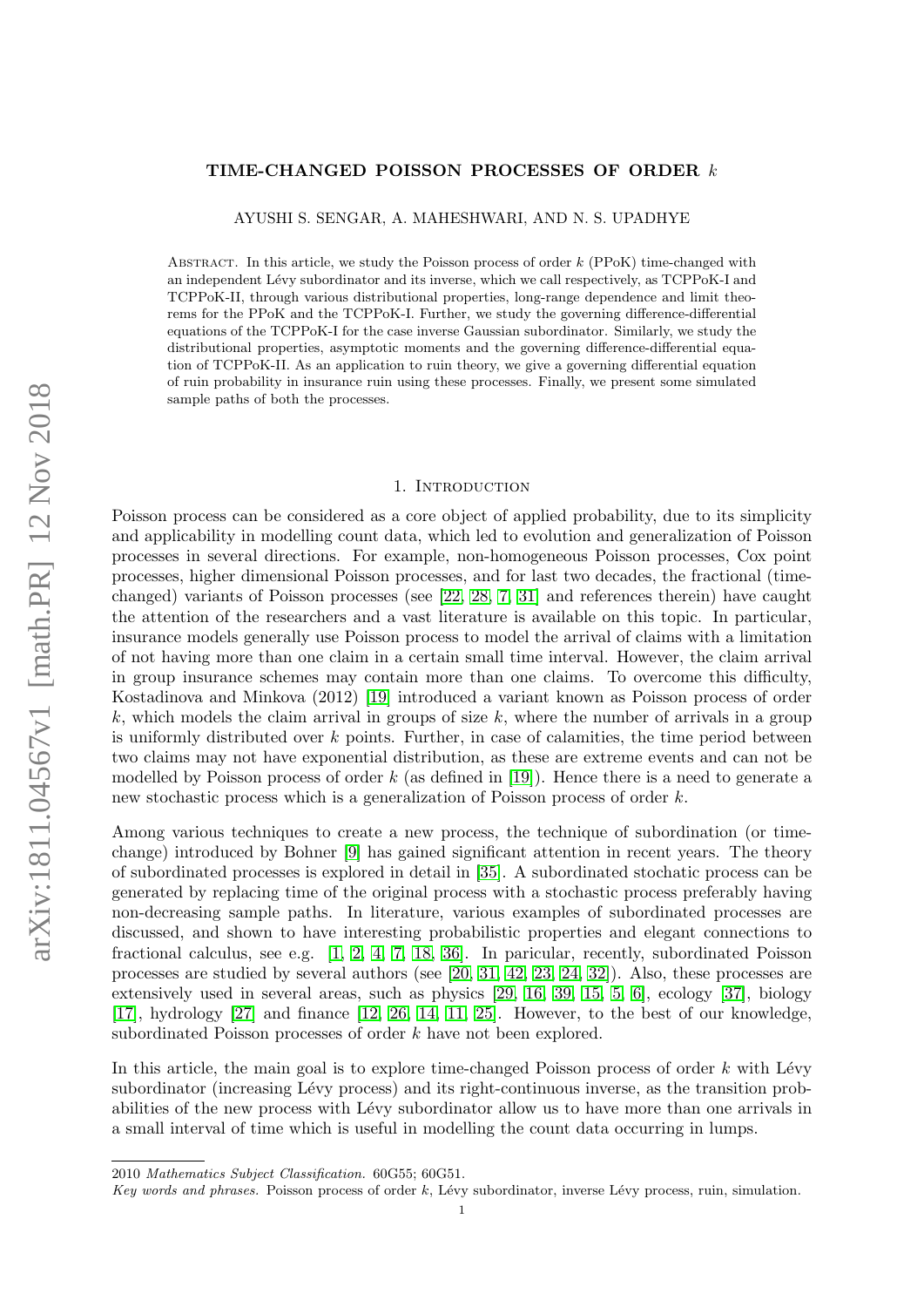# arXiv:1811.04567v1 [math.PR] 12 Nov 2018 arXiv:1811.04567v1 [math.PR] 12 Nov 2018

# TIME-CHANGED POISSON PROCESSES OF ORDER k

AYUSHI S. SENGAR, A. MAHESHWARI, AND N. S. UPADHYE

ABSTRACT. In this article, we study the Poisson process of order  $k$  (PPoK) time-changed with an independent Lévy subordinator and its inverse, which we call respectively, as TCPPoK-I and TCPPoK-II, through various distributional properties, long-range dependence and limit theorems for the PPoK and the TCPPoK-I. Further, we study the governing difference-differential equations of the TCPPoK-I for the case inverse Gaussian subordinator. Similarly, we study the distributional properties, asymptotic moments and the governing difference-differential equation of TCPPoK-II. As an application to ruin theory, we give a governing differential equation of ruin probability in insurance ruin using these processes. Finally, we present some simulated sample paths of both the processes.

### 1. INTRODUCTION

Poisson process can be considered as a core object of applied probability, due to its simplicity and applicability in modelling count data, which led to evolution and generalization of Poisson processes in several directions. For example, non-homogeneous Poisson processes, Cox point processes, higher dimensional Poisson processes, and for last two decades, the fractional (timechanged) variants of Poisson processes (see [\[22,](#page-17-0) [28,](#page-17-1) [7,](#page-17-2) [31\]](#page-18-0) and references therein) have caught the attention of the researchers and a vast literature is available on this topic. In particular, insurance models generally use Poisson process to model the arrival of claims with a limitation of not having more than one claim in a certain small time interval. However, the claim arrival in group insurance schemes may contain more than one claims. To overcome this difficulty, Kostadinova and Minkova (2012) [\[19\]](#page-17-3) introduced a variant known as Poisson process of order k, which models the claim arrival in groups of size  $k$ , where the number of arrivals in a group is uniformly distributed over  $k$  points. Further, in case of calamities, the time period between two claims may not have exponential distribution, as these are extreme events and can not be modelled by Poisson process of order  $k$  (as defined in [\[19\]](#page-17-3)). Hence there is a need to generate a new stochastic process which is a generalization of Poisson process of order k.

Among various techniques to create a new process, the technique of subordination (or timechange) introduced by Bohner [\[9\]](#page-17-4) has gained significant attention in recent years. The theory of subordinated processes is explored in detail in [\[35\]](#page-18-1). A subordinated stochatic process can be generated by replacing time of the original process with a stochastic process preferably having non-decreasing sample paths. In literature, various examples of subordinated processes are discussed, and shown to have interesting probabilistic properties and elegant connections to fractional calculus, see e.g. [\[1,](#page-17-5) [2,](#page-17-6) [4,](#page-17-7) [7,](#page-17-2) [18,](#page-17-8) [36\]](#page-18-2). In paricular, recently, subordinated Poisson processes are studied by several authors (see [\[20,](#page-17-9) [31,](#page-18-0) [42,](#page-18-3) [23,](#page-17-10) [24,](#page-17-11) [32\]](#page-18-4)). Also, these processes are extensively used in several areas, such as physics [\[29,](#page-17-12) [16,](#page-17-13) [39,](#page-18-5) [15,](#page-17-14) [5,](#page-17-15) [6\]](#page-17-16), ecology [\[37\]](#page-18-6), biology [\[17\]](#page-17-17), hydrology [\[27\]](#page-17-18) and finance [\[12,](#page-17-19) [26,](#page-17-20) [14,](#page-17-21) [11,](#page-17-22) [25\]](#page-17-23). However, to the best of our knowledge, subordinated Poisson processes of order k have not been explored.

In this article, the main goal is to explore time-changed Poisson process of order  $k$  with Lévy subordinator (increasing Lévy process) and its right-continuous inverse, as the transition probabilities of the new process with Lévy subordinator allow us to have more than one arrivals in a small interval of time which is useful in modelling the count data occurring in lumps.

<sup>2010</sup> Mathematics Subject Classification. 60G55; 60G51.

Key words and phrases. Poisson process of order k, Lévy subordinator, inverse Lévy process, ruin, simulation.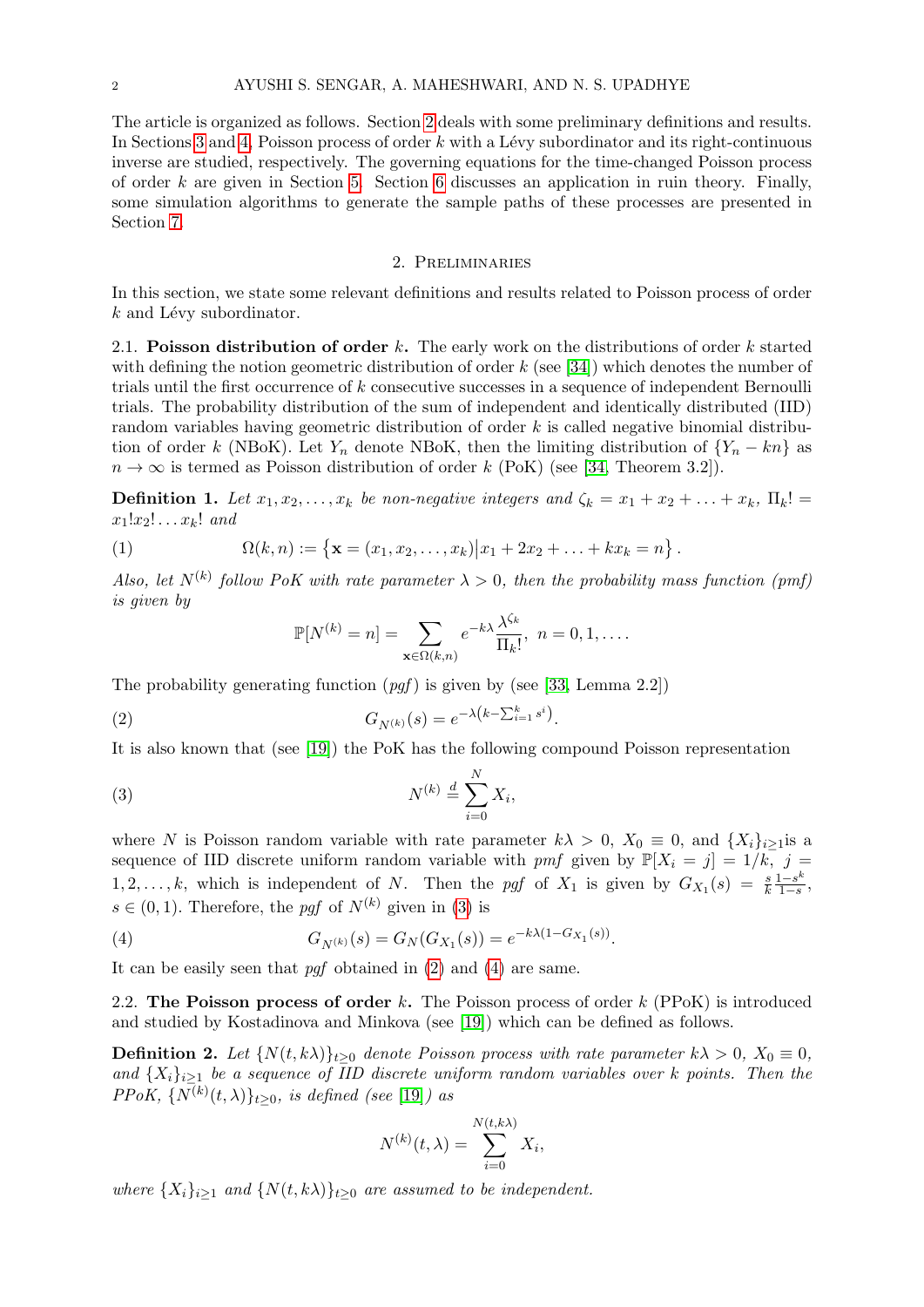The article is organized as follows. Section [2](#page-1-0) deals with some preliminary definitions and results. In Sections [3](#page-3-0) and [4,](#page-7-0) Poisson process of order  $k$  with a Lévy subordinator and its right-continuous inverse are studied, respectively. The governing equations for the time-changed Poisson process of order k are given in Section [5.](#page-9-0) Section [6](#page-12-0) discusses an application in ruin theory. Finally, some simulation algorithms to generate the sample paths of these processes are presented in Section [7.](#page-15-0)

# 2. Preliminaries

<span id="page-1-0"></span>In this section, we state some relevant definitions and results related to Poisson process of order  $k$  and Lévy subordinator.

2.1. Poisson distribution of order  $k$ . The early work on the distributions of order  $k$  started with defining the notion geometric distribution of order  $k$  (see [\[34\]](#page-18-7)) which denotes the number of trials until the first occurrence of k consecutive successes in a sequence of independent Bernoulli trials. The probability distribution of the sum of independent and identically distributed (IID) random variables having geometric distribution of order k is called negative binomial distribution of order k (NBoK). Let Y<sub>n</sub> denote NBoK, then the limiting distribution of  ${Y_n - kn}$  as  $n \to \infty$  is termed as Poisson distribution of order k (PoK) (see [\[34,](#page-18-7) Theorem 3.2]).

**Definition 1.** Let  $x_1, x_2, \ldots, x_k$  be non-negative integers and  $\zeta_k = x_1 + x_2 + \ldots + x_k$ ,  $\Pi_k!$  $x_1!x_2!\ldots x_k!$  and

(1) 
$$
\Omega(k,n) := \left\{ \mathbf{x} = (x_1, x_2, \dots, x_k) | x_1 + 2x_2 + \dots + kx_k = n \right\}.
$$

Also, let  $N^{(k)}$  follow PoK with rate parameter  $\lambda > 0$ , then the probability mass function (pmf) is given by

<span id="page-1-2"></span><span id="page-1-1"></span>
$$
\mathbb{P}[N^{(k)}=n]=\sum_{\mathbf{x}\in\Omega(k,n)}e^{-k\lambda}\frac{\lambda^{\zeta_k}}{\Pi_k!},\ n=0,1,\ldots.
$$

The probability generating function  $(pgf)$  is given by (see [\[33,](#page-18-8) Lemma 2.2])

(2) 
$$
G_{N^{(k)}}(s) = e^{-\lambda (k - \sum_{i=1}^{k} s^i)}.
$$

It is also known that (see [\[19\]](#page-17-3)) the PoK has the following compound Poisson representation

$$
N^{(k)} \stackrel{d}{=} \sum_{i=0}^{N} X_i,
$$

where N is Poisson random variable with rate parameter  $k\lambda > 0$ ,  $X_0 \equiv 0$ , and  $\{X_i\}_{i\geq 1}$  is a sequence of IID discrete uniform random variable with pmf given by  $\mathbb{P}[X_i = j] = 1/k$ , j = 1, 2, ..., k, which is independent of N. Then the pgf of  $X_1$  is given by  $G_{X_1}(s) = \frac{s}{k}$  $1-s^k$  $\frac{1-s^{\kappa}}{1-s},$  $s \in (0, 1)$ . Therefore, the pqf of  $N^{(k)}$  given in [\(3\)](#page-1-1) is

<span id="page-1-3"></span>(4) 
$$
G_{N^{(k)}}(s) = G_N(G_{X_1}(s)) = e^{-k\lambda(1 - G_{X_1}(s))}.
$$

It can be easily seen that  $p\bar{q}$  obtained in [\(2\)](#page-1-2) and [\(4\)](#page-1-3) are same.

2.2. The Poisson process of order k. The Poisson process of order  $k$  (PPoK) is introduced and studied by Kostadinova and Minkova (see [\[19\]](#page-17-3)) which can be defined as follows.

**Definition 2.** Let  $\{N(t, k\lambda)\}_{t\geq 0}$  denote Poisson process with rate parameter  $k\lambda > 0$ ,  $X_0 \equiv 0$ , and  $\{X_i\}_{i\geq 1}$  be a sequence of IID discrete uniform random variables over k points. Then the PPoK,  $\{N^{(k)}(t,\lambda)\}_{t\geq0}$ , is defined (see [\[19\]](#page-17-3)) as

$$
N^{(k)}(t,\lambda) = \sum_{i=0}^{N(t,k\lambda)} X_i,
$$

where  $\{X_i\}_{i\geq 1}$  and  $\{N(t, k\lambda)\}_{t\geq 0}$  are assumed to be independent.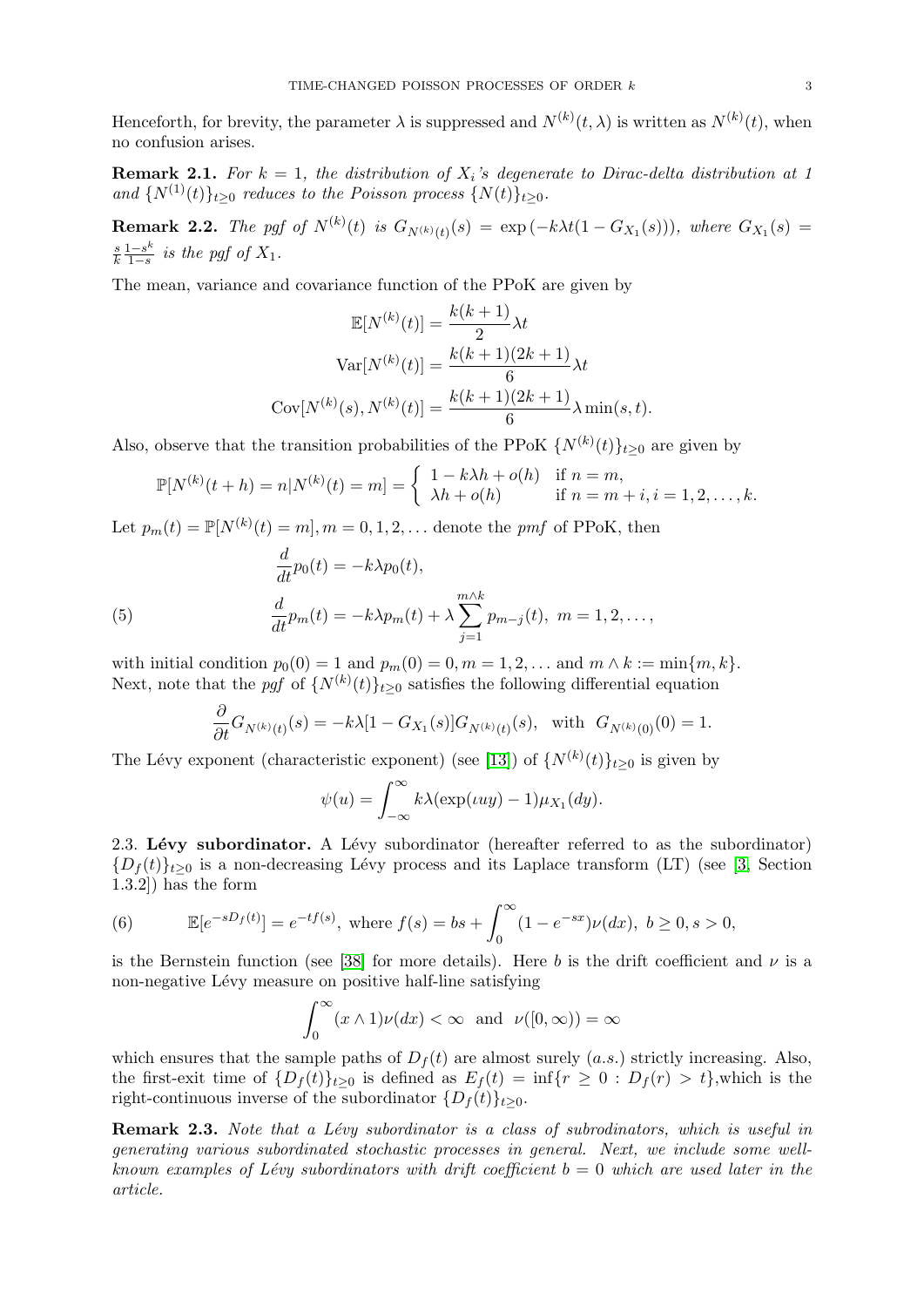Henceforth, for brevity, the parameter  $\lambda$  is suppressed and  $N^{(k)}(t,\lambda)$  is written as  $N^{(k)}(t)$ , when no confusion arises.

**Remark 2.1.** For  $k = 1$ , the distribution of  $X_i$ 's degenerate to Dirac-delta distribution at 1 and  $\{N^{(1)}(t)\}_{t\geq0}$  reduces to the Poisson process  $\{N(t)\}_{t\geq0}$ .

**Remark 2.2.** The pgf of  $N^{(k)}(t)$  is  $G_{N^{(k)}(t)}(s) = \exp(-k\lambda t(1 - G_{X_1}(s)))$ , where  $G_{X_1}(s) =$ s k  $1-s^k$  $rac{1-s^n}{1-s}$  is the pgf of  $X_1$ .

The mean, variance and covariance function of the PPoK are given by

$$
\mathbb{E}[N^{(k)}(t)] = \frac{k(k+1)}{2}\lambda t
$$

$$
\text{Var}[N^{(k)}(t)] = \frac{k(k+1)(2k+1)}{6}\lambda t
$$

$$
\text{Cov}[N^{(k)}(s), N^{(k)}(t)] = \frac{k(k+1)(2k+1)}{6}\lambda \min(s, t).
$$

Also, observe that the transition probabilities of the PPoK  $\{N^{(k)}(t)\}_{t\geq 0}$  are given by

$$
\mathbb{P}[N^{(k)}(t+h) = n | N^{(k)}(t) = m] = \begin{cases} 1 - k\lambda h + o(h) & \text{if } n = m, \\ \lambda h + o(h) & \text{if } n = m + i, i = 1, 2, \dots, k. \end{cases}
$$

Let  $p_m(t) = \mathbb{P}[N^{(k)}(t) = m], m = 0, 1, 2, \dots$  denote the pmf of PPoK, then

<span id="page-2-2"></span>(5) 
$$
\frac{d}{dt}p_0(t) = -k\lambda p_0(t),
$$

$$
\frac{d}{dt}p_m(t) = -k\lambda p_m(t) + \lambda \sum_{j=1}^{m \wedge k} p_{m-j}(t), \ m = 1, 2, \dots,
$$

with initial condition  $p_0(0) = 1$  and  $p_m(0) = 0, m = 1, 2, ...$  and  $m \wedge k := \min\{m, k\}.$ Next, note that the *pgf* of  $\{N^{(k)}(t)\}_{t\geq 0}$  satisfies the following differential equation

$$
\frac{\partial}{\partial t}G_{N^{(k)}(t)}(s) = -k\lambda [1 - G_{X_1}(s)] G_{N^{(k)}(t)}(s), \text{ with } G_{N^{(k)}(0)}(0) = 1.
$$

The Lévy exponent (characteristic exponent) (see [\[13\]](#page-17-24)) of  $\{N^{(k)}(t)\}_{t\geq 0}$  is given by

$$
\psi(u) = \int_{-\infty}^{\infty} k\lambda(\exp(uu) - 1)\mu_{X_1}(dy).
$$

2.3. Lévy subordinator. A Lévy subordinator (hereafter referred to as the subordinator)  ${D_f(t)}_{t\geq0}$  is a non-decreasing Lévy process and its Laplace transform (LT) (see [\[3,](#page-17-25) Section 1.3.2]) has the form

<span id="page-2-0"></span>(6) 
$$
\mathbb{E}[e^{-sD_f(t)}] = e^{-tf(s)}, \text{ where } f(s) = bs + \int_0^\infty (1 - e^{-sx}) \nu(dx), \ b \ge 0, s > 0,
$$

is the Bernstein function (see [\[38\]](#page-18-9) for more details). Here b is the drift coefficient and  $\nu$  is a non-negative Lévy measure on positive half-line satisfying

$$
\int_0^\infty (x \wedge 1) \nu(dx) < \infty \text{ and } \nu([0, \infty)) = \infty
$$

which ensures that the sample paths of  $D_f(t)$  are almost surely  $(a.s.)$  strictly increasing. Also, the first-exit time of  $\{D_f(t)\}_{t>0}$  is defined as  $E_f(t) = \inf\{r \geq 0 : D_f(r) > t\}$ , which is the right-continuous inverse of the subordinator  $\{D_f(t)\}_{t\geq 0}$ .

<span id="page-2-1"></span>**Remark 2.3.** Note that a Lévy subordinator is a class of subrodinators, which is useful in generating various subordinated stochastic processes in general. Next, we include some wellknown examples of Lévy subordinators with drift coefficient  $b = 0$  which are used later in the article.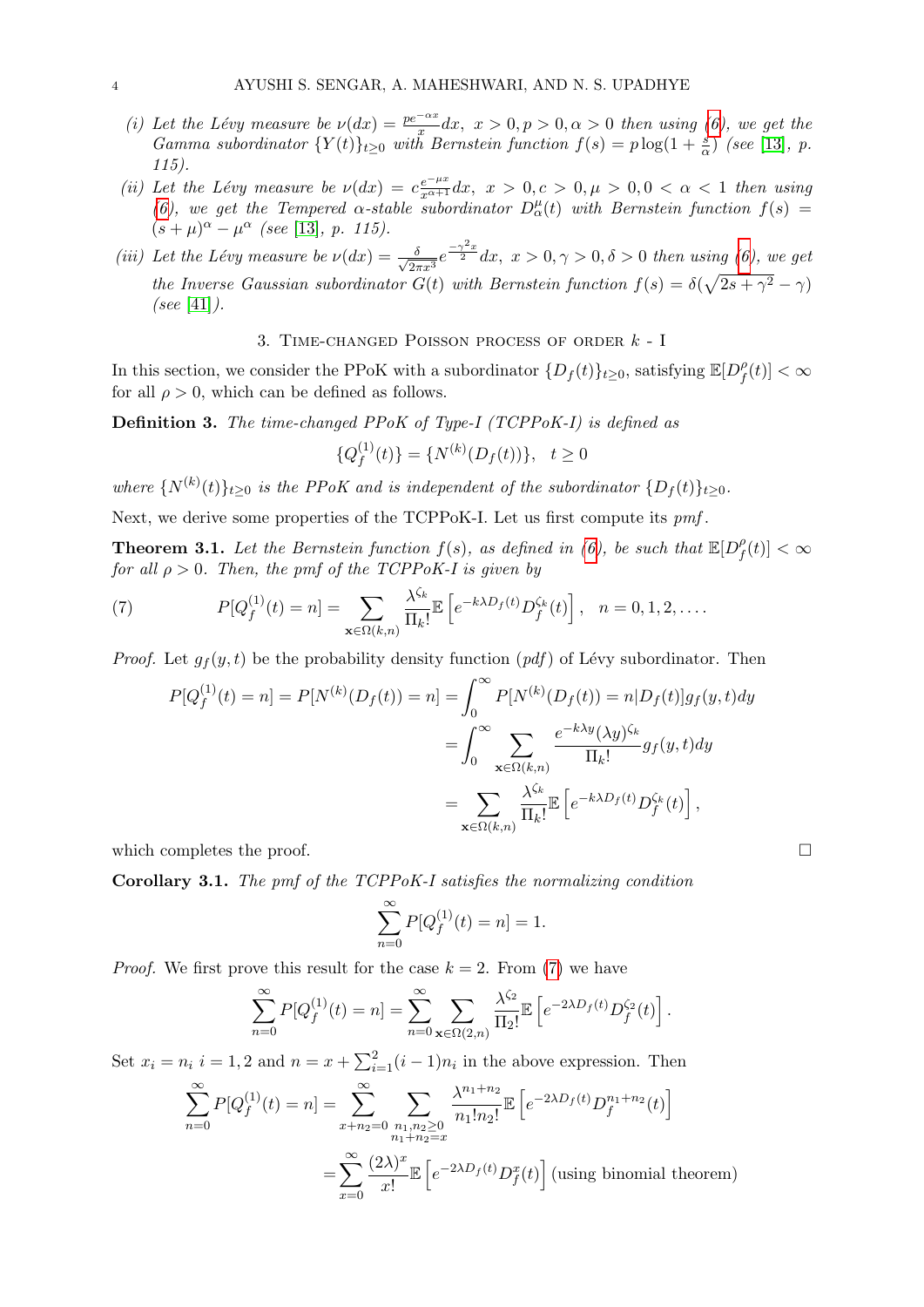- (i) Let the Lévy measure be  $\nu(dx) = \frac{pe^{-\alpha x}}{x} dx$ ,  $x > 0, p > 0, \alpha > 0$  then using [\(6\)](#page-2-0), we get the Gamma subordinator  $\{Y(t)\}_{t\geq 0}$  with Bernstein function  $f(s) = p \log(1 + \frac{s}{\alpha})$  (see [\[13\]](#page-17-24), p. 115).
- (ii) Let the Lévy measure be  $\nu(dx) = c \frac{e^{-\mu x}}{x^{\alpha+1}} dx$ ,  $x > 0, c > 0, \mu > 0, 0 < \alpha < 1$  then using [\(6\)](#page-2-0), we get the Tempered  $\alpha$ -stable subordinator  $D^{\mu}_{\alpha}(t)$  with Bernstein function  $f(s)$  =  $(s+\mu)^{\alpha} - \mu^{\alpha}$  (see [\[13\]](#page-17-24), p. 115).
- (iii) Let the Lévy measure be  $\nu(dx) = \frac{\delta}{\sqrt{2\pi}}$  $\frac{\delta}{2\pi x^3}e^{\frac{-\gamma^2 x}{2}} dx$ ,  $x > 0, \gamma > 0, \delta > 0$  then using [\(6\)](#page-2-0), we get the Inverse Gaussian subordinator  $G(t)$  with Bernstein function  $f(s) = \delta(\sqrt{2s + \gamma^2} - \gamma)$ (see [\[41\]](#page-18-10)).

3. TIME-CHANGED POISSON PROCESS OF ORDER  $k - I$ 

<span id="page-3-0"></span>In this section, we consider the PPoK with a subordinator  $\{D_f(t)\}_{t\geq 0}$ , satisfying  $\mathbb{E}[D_f^{\rho}]$  $\int_f^\rho (t)|<\infty$ for all  $\rho > 0$ , which can be defined as follows.

Definition 3. The time-changed PPoK of Type-I (TCPPoK-I) is defined as

$$
\{Q_f^{(1)}(t)\} = \{N^{(k)}(D_f(t))\}, \quad t \ge 0
$$

where  $\{N^{(k)}(t)\}_{t\geq 0}$  is the PPoK and is independent of the subordinator  $\{D_f(t)\}_{t\geq 0}$ .

Next, we derive some properties of the TCPPoK-I. Let us first compute its  $pm$ .

<span id="page-3-2"></span>**Theorem 3.1.** Let the Bernstein function  $f(s)$ , as defined in [\(6\)](#page-2-0), be such that  $\mathbb{E}[D_f^{\rho}]$  $\int\limits_{f}^{\rho}(t)\vert<\infty$ for all  $\rho > 0$ . Then, the pmf of the TCPPoK-I is given by

(7) 
$$
P[Q_f^{(1)}(t) = n] = \sum_{\mathbf{x} \in \Omega(k,n)} \frac{\lambda^{\zeta_k}}{\Pi_k!} \mathbb{E}\left[e^{-k\lambda D_f(t)} D_f^{\zeta_k}(t)\right], \quad n = 0, 1, 2, \dots
$$

*Proof.* Let  $g_f(y, t)$  be the probability density function  $(pdf)$  of Lévy subordinator. Then

<span id="page-3-1"></span>
$$
P[Q_f^{(1)}(t) = n] = P[N^{(k)}(D_f(t)) = n] = \int_0^\infty P[N^{(k)}(D_f(t)) = n|D_f(t)]g_f(y, t)dy
$$

$$
= \int_0^\infty \sum_{\mathbf{x} \in \Omega(k,n)} \frac{e^{-k\lambda y}(\lambda y)^{\zeta_k}}{\Pi_k!} g_f(y, t)dy
$$

$$
= \sum_{\mathbf{x} \in \Omega(k,n)} \frac{\lambda^{\zeta_k}}{\Pi_k!} \mathbb{E}\left[e^{-k\lambda D_f(t)} D_f^{\zeta_k}(t)\right],
$$

which completes the proof.  $\Box$ 

Corollary 3.1. The pmf of the TCPPoK-I satisfies the normalizing condition

$$
\sum_{n=0}^{\infty} P[Q_f^{(1)}(t) = n] = 1.
$$

*Proof.* We first prove this result for the case  $k = 2$ . From [\(7\)](#page-3-1) we have

$$
\sum_{n=0}^{\infty} P[Q_f^{(1)}(t) = n] = \sum_{n=0}^{\infty} \sum_{\mathbf{x} \in \Omega(2,n)} \frac{\lambda^{\zeta_2}}{\Pi_2!} \mathbb{E}\left[e^{-2\lambda D_f(t)} D_f^{\zeta_2}(t)\right].
$$

Set  $x_i = n_i$   $i = 1, 2$  and  $n = x + \sum_{i=1}^{2} (i-1)n_i$  in the above expression. Then

$$
\sum_{n=0}^{\infty} P[Q_f^{(1)}(t) = n] = \sum_{x+n_2=0}^{\infty} \sum_{\substack{n_1, n_2 \ge 0 \\ n_1 + n_2 = x}} \frac{\lambda^{n_1 + n_2}}{n_1! n_2!} \mathbb{E}\left[e^{-2\lambda D_f(t)} D_f^{n_1 + n_2}(t)\right]
$$

$$
= \sum_{x=0}^{\infty} \frac{(2\lambda)^x}{x!} \mathbb{E}\left[e^{-2\lambda D_f(t)} D_f^x(t)\right] \text{ (using binomial theorem)}
$$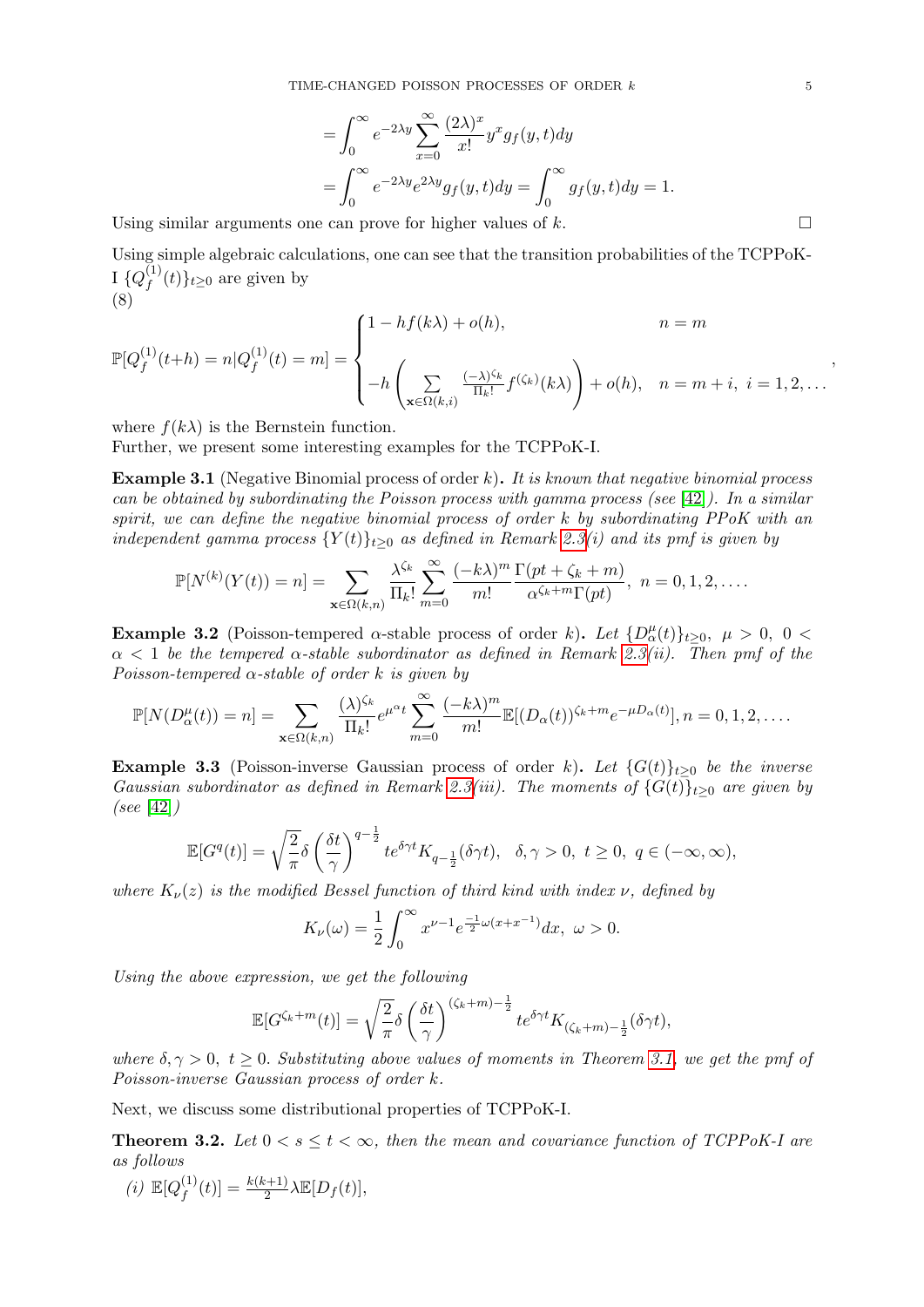$$
= \int_0^\infty e^{-2\lambda y} \sum_{x=0}^\infty \frac{(2\lambda)^x}{x!} y^x g_f(y, t) dy
$$
  
= 
$$
\int_0^\infty e^{-2\lambda y} e^{2\lambda y} g_f(y, t) dy = \int_0^\infty g_f(y, t) dy = 1.
$$

Using similar arguments one can prove for higher values of  $k$ .

Using simple algebraic calculations, one can see that the transition probabilities of the TCPPoK-I  $\{Q^{(1)}_\ell$  $f^{(1)}(t)$ <sub>t</sub> $\geq 0$  are given by (8)

<span id="page-4-1"></span>
$$
\mathbb{P}[Q_f^{(1)}(t+h) = n|Q_f^{(1)}(t) = m] = \begin{cases} 1 - hf(k\lambda) + o(h), & n = m \\ -h\left(\sum_{\mathbf{x} \in \Omega(k,i)} \frac{(-\lambda)^{\zeta_k}}{\Pi_k!} f^{(\zeta_k)}(k\lambda)\right) + o(h), & n = m + i, i = 1, 2, ... \end{cases}
$$

where  $f(k\lambda)$  is the Bernstein function.

Further, we present some interesting examples for the TCPPoK-I.

**Example 3.1** (Negative Binomial process of order k). It is known that negative binomial process can be obtained by subordinating the Poisson process with gamma process (see [\[42\]](#page-18-3)). In a similar spirit, we can define the negative binomial process of order  $k$  by subordinating PPoK with an independent gamma process  ${Y(t)}_{t>0}$  as defined in Remark [2.3\(](#page-2-1)i) and its pmf is given by

$$
\mathbb{P}[N^{(k)}(Y(t)) = n] = \sum_{\mathbf{x} \in \Omega(k,n)} \frac{\lambda^{\zeta_k}}{\Pi_k!} \sum_{m=0}^{\infty} \frac{(-k\lambda)^m}{m!} \frac{\Gamma(pt + \zeta_k + m)}{\alpha^{\zeta_k+m} \Gamma(pt)}, \quad n = 0, 1, 2, \dots
$$

**Example 3.2** (Poisson-tempered  $\alpha$ -stable process of order k). Let  $\{D_{\alpha}^{\mu}(t)\}_{t\geq0}$ ,  $\mu > 0$ ,  $0 <$  $\alpha$  < 1 be the tempered  $\alpha$ -stable subordinator as defined in Remark [2.3\(](#page-2-1)ii). Then pmf of the Poisson-tempered  $\alpha$ -stable of order k is given by

$$
\mathbb{P}[N(D_\alpha^{\mu}(t)) = n] = \sum_{\mathbf{x} \in \Omega(k,n)} \frac{(\lambda)^{\zeta_k}}{\Pi_k!} e^{\mu^{\alpha}t} \sum_{m=0}^{\infty} \frac{(-k\lambda)^m}{m!} \mathbb{E}[(D_\alpha(t))^{\zeta_k+m} e^{-\mu D_\alpha(t)}], n = 0, 1, 2, \dots
$$

**Example 3.3** (Poisson-inverse Gaussian process of order k). Let  $\{G(t)\}_{t>0}$  be the inverse Gaussian subordinator as defined in Remark [2.3\(](#page-2-1)iii). The moments of  $\{G(t)\}_{t>0}$  are given by (see [\[42\]](#page-18-3))

$$
\mathbb{E}[G^q(t)]=\sqrt{\frac{2}{\pi}}\delta\left(\frac{\delta t}{\gamma}\right)^{q-\frac{1}{2}}te^{\delta \gamma t}K_{q-\frac{1}{2}}(\delta \gamma t),~~\delta,\gamma>0,~t\geq 0,~q\in(-\infty,\infty),
$$

where  $K_{\nu}(z)$  is the modified Bessel function of third kind with index  $\nu$ , defined by

$$
K_{\nu}(\omega)=\frac{1}{2}\int_{0}^{\infty}x^{\nu-1}e^{\frac{-1}{2}\omega(x+x^{-1})}dx,\,\,\omega>0.
$$

Using the above expression, we get the following

$$
\mathbb{E}[G^{\zeta_k+m}(t)] = \sqrt{\frac{2}{\pi}} \delta \left(\frac{\delta t}{\gamma}\right)^{(\zeta_k+m)-\frac{1}{2}} t e^{\delta \gamma t} K_{(\zeta_k+m)-\frac{1}{2}}(\delta \gamma t),
$$

where  $\delta, \gamma > 0$ ,  $t > 0$ . Substituting above values of moments in Theorem [3.1,](#page-3-2) we get the pmf of Poisson-inverse Gaussian process of order k.

Next, we discuss some distributional properties of TCPPoK-I.

<span id="page-4-0"></span>**Theorem 3.2.** Let  $0 < s \le t < \infty$ , then the mean and covariance function of TCPPoK-I are as follows

(i) 
$$
\mathbb{E}[Q_f^{(1)}(t)] = \frac{k(k+1)}{2} \lambda \mathbb{E}[D_f(t)],
$$

,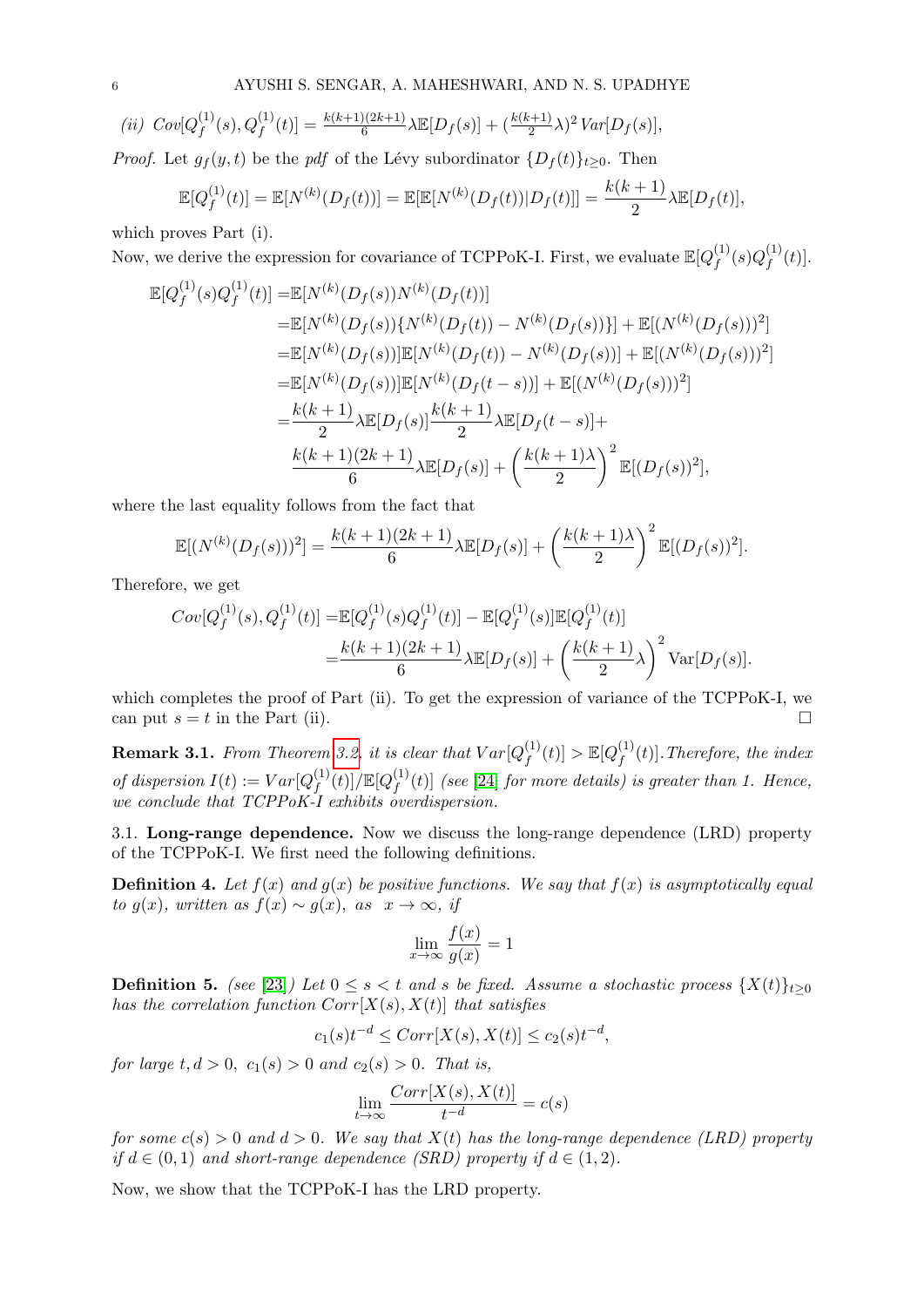$$
(ii) \ Cov[Q_f^{(1)}(s), Q_f^{(1)}(t)] = \frac{k(k+1)(2k+1)}{6} \lambda \mathbb{E}[D_f(s)] + (\frac{k(k+1)}{2}\lambda)^2 Var[D_f(s)],
$$

*Proof.* Let  $g_f(y, t)$  be the pdf of the Lévy subordinator  $\{D_f(t)\}_{t\geq 0}$ . Then

$$
\mathbb{E}[Q_f^{(1)}(t)] = \mathbb{E}[N^{(k)}(D_f(t))] = \mathbb{E}[\mathbb{E}[N^{(k)}(D_f(t))|D_f(t)]] = \frac{k(k+1)}{2}\lambda \mathbb{E}[D_f(t)],
$$

which proves Part (i).

Now, we derive the expression for covariance of TCPPoK-I. First, we evaluate  $\mathbb{E}[Q_f^{(1)}]$  $\stackrel{(1)}{f}(s) Q^{(1)}_f$  $f^{(1)}(t)].$ 

$$
\mathbb{E}[Q_f^{(1)}(s)Q_f^{(1)}(t)] = \mathbb{E}[N^{(k)}(D_f(s))N^{(k)}(D_f(t))]
$$
  
\n
$$
= \mathbb{E}[N^{(k)}(D_f(s))\{N^{(k)}(D_f(t)) - N^{(k)}(D_f(s))\}] + \mathbb{E}[(N^{(k)}(D_f(s)))^2]
$$
  
\n
$$
= \mathbb{E}[N^{(k)}(D_f(s))]\mathbb{E}[N^{(k)}(D_f(t)) - N^{(k)}(D_f(s))] + \mathbb{E}[(N^{(k)}(D_f(s)))^2]
$$
  
\n
$$
= \mathbb{E}[N^{(k)}(D_f(s))]\mathbb{E}[N^{(k)}(D_f(t-s))] + \mathbb{E}[(N^{(k)}(D_f(s)))^2]
$$
  
\n
$$
= \frac{k(k+1)}{2}\lambda \mathbb{E}[D_f(s)]\frac{k(k+1)}{2}\lambda \mathbb{E}[D_f(t-s)] +
$$
  
\n
$$
\frac{k(k+1)(2k+1)}{6}\lambda \mathbb{E}[D_f(s)] + \left(\frac{k(k+1)\lambda}{2}\right)^2 \mathbb{E}[(D_f(s))^2],
$$

where the last equality follows from the fact that

$$
\mathbb{E}[(N^{(k)}(D_f(s)))^2] = \frac{k(k+1)(2k+1)}{6}\lambda \mathbb{E}[D_f(s)] + \left(\frac{k(k+1)\lambda}{2}\right)^2 \mathbb{E}[(D_f(s))^2].
$$

Therefore, we get

$$
Cov[Q_f^{(1)}(s), Q_f^{(1)}(t)] = \mathbb{E}[Q_f^{(1)}(s)Q_f^{(1)}(t)] - \mathbb{E}[Q_f^{(1)}(s)]\mathbb{E}[Q_f^{(1)}(t)]
$$
  
= 
$$
\frac{k(k+1)(2k+1)}{6}\lambda \mathbb{E}[D_f(s)] + \left(\frac{k(k+1)}{2}\lambda\right)^2 \text{Var}[D_f(s)].
$$

which completes the proof of Part (ii). To get the expression of variance of the TCPPoK-I, we can put  $s = t$  in the Part (ii).

**Remark 3.1.** From Theorem [3.2,](#page-4-0) it is clear that  $Var[Q_f^{(1)}]$  $f^{(1)}(t)] > \mathbb{E}[Q_f^{(1)}]$  $f_f^{(1)}(t)$ . Therefore, the index of dispersion  $I(t) := Var[Q_t^{(1)}]$  $f^{(1)}(t)]/\mathbb{E}[Q_f^{(1)}]$  $\int_{f}^{(1)}(t)$  (see [\[24\]](#page-17-11) for more details) is greater than 1. Hence, we conclude that TCPPoK-I exhibits overdispersion.

3.1. Long-range dependence. Now we discuss the long-range dependence (LRD) property of the TCPPoK-I. We first need the following definitions.

<span id="page-5-0"></span>**Definition 4.** Let  $f(x)$  and  $g(x)$  be positive functions. We say that  $f(x)$  is asymptotically equal to g(x), written as  $f(x) \sim g(x)$ , as  $x \to \infty$ , if

$$
\lim_{x \to \infty} \frac{f(x)}{g(x)} = 1
$$

<span id="page-5-1"></span>**Definition 5.** (see [\[23\]](#page-17-10)) Let  $0 \le s < t$  and s be fixed. Assume a stochastic process  $\{X(t)\}_{t\ge0}$ has the correlation function  $Corr[X(s), X(t)]$  that satisfies

$$
c_1(s)t^{-d} \leq Corr[X(s), X(t)] \leq c_2(s)t^{-d},
$$

for large  $t, d > 0$ ,  $c_1(s) > 0$  and  $c_2(s) > 0$ . That is,

$$
\lim_{t \to \infty} \frac{Corr[X(s), X(t)]}{t^{-d}} = c(s)
$$

for some  $c(s) > 0$  and  $d > 0$ . We say that  $X(t)$  has the long-range dependence (LRD) property if  $d \in (0,1)$  and short-range dependence (SRD) property if  $d \in (1,2)$ .

Now, we show that the TCPPoK-I has the LRD property.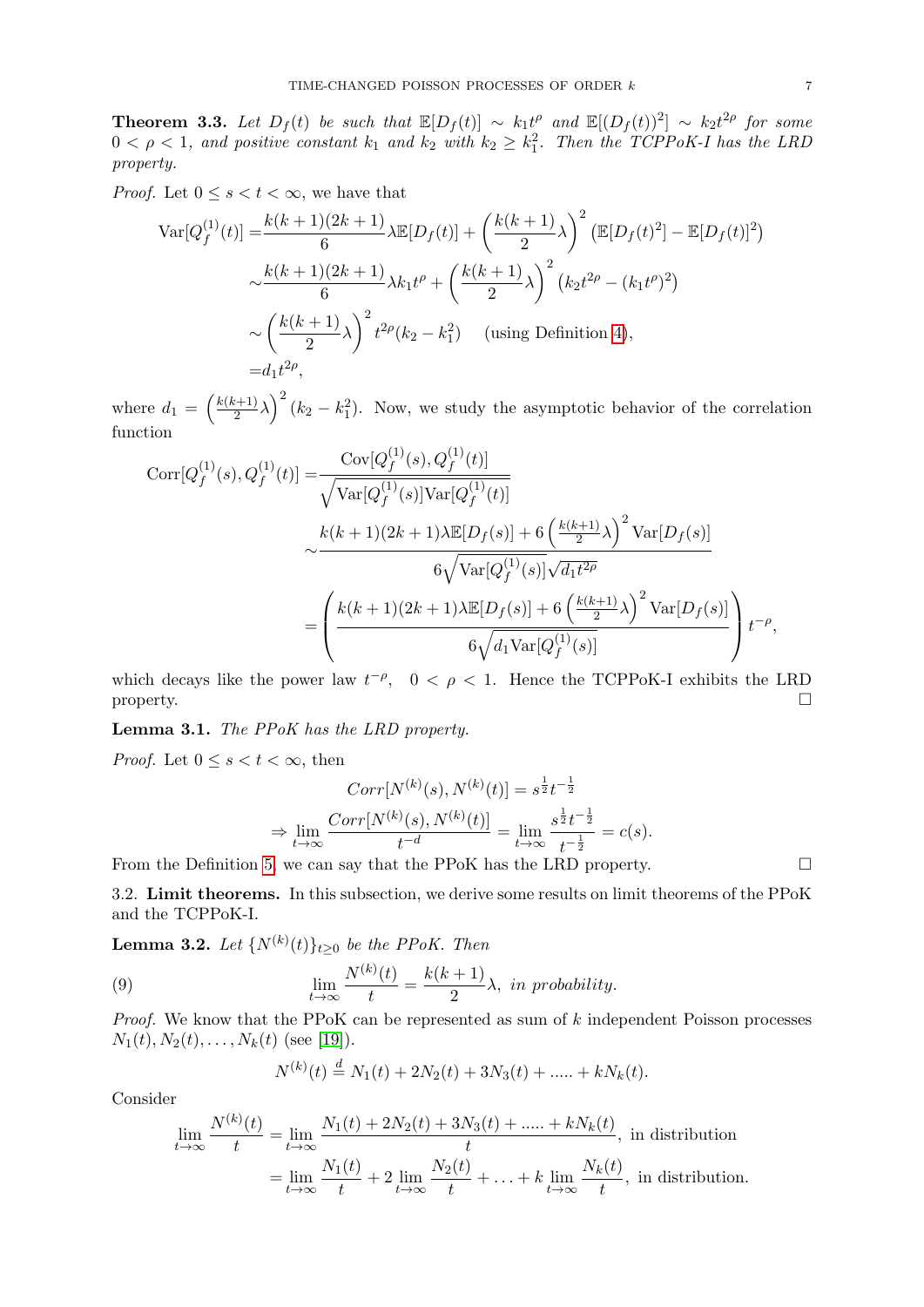**Theorem 3.3.** Let  $D_f(t)$  be such that  $\mathbb{E}[D_f(t)] \sim k_1 t^{\rho}$  and  $\mathbb{E}[(D_f(t))^2] \sim k_2 t^{2\rho}$  for some  $0 < \rho < 1$ , and positive constant  $k_1$  and  $k_2$  with  $k_2 \geq k_1^2$ . Then the TCPPoK-I has the LRD property.

*Proof.* Let  $0 \leq s < t < \infty$ , we have that

$$
\operatorname{Var}[Q_f^{(1)}(t)] = \frac{k(k+1)(2k+1)}{6} \lambda \mathbb{E}[D_f(t)] + \left(\frac{k(k+1)}{2}\lambda\right)^2 \left(\mathbb{E}[D_f(t)^2] - \mathbb{E}[D_f(t)]^2\right)
$$
  

$$
\sim \frac{k(k+1)(2k+1)}{6} \lambda k_1 t^{\rho} + \left(\frac{k(k+1)}{2}\lambda\right)^2 \left(k_2 t^{2\rho} - (k_1 t^{\rho})^2\right)
$$
  

$$
\sim \left(\frac{k(k+1)}{2}\lambda\right)^2 t^{2\rho} (k_2 - k_1^2) \quad \text{(using Definition 4)},
$$
  

$$
= d_1 t^{2\rho},
$$

where  $d_1 = \left(\frac{k(k+1)}{2}\right)$  $\left(\frac{k+1}{2}\lambda\right)^2 (k_2 - k_1^2)$ . Now, we study the asymptotic behavior of the correlation function

$$
Corr[Q_f^{(1)}(s), Q_f^{(1)}(t)] = \frac{Cov[Q_f^{(1)}(s), Q_f^{(1)}(t)]}{\sqrt{\text{Var}[Q_f^{(1)}(s)]\text{Var}[Q_f^{(1)}(t)]}}
$$

$$
\sim \frac{k(k+1)(2k+1)\lambda \mathbb{E}[D_f(s)] + 6\left(\frac{k(k+1)}{2}\lambda\right)^2 \text{Var}[D_f(s)]}{6\sqrt{\text{Var}[Q_f^{(1)}(s)]}\sqrt{d_1 t^{2\rho}}}
$$

$$
= \left(\frac{k(k+1)(2k+1)\lambda \mathbb{E}[D_f(s)] + 6\left(\frac{k(k+1)}{2}\lambda\right)^2 \text{Var}[D_f(s)]}{6\sqrt{d_1 \text{Var}[Q_f^{(1)}(s)]}}\right) t^{-\rho},
$$

which decays like the power law  $t^{-\rho}$ ,  $0 < \rho < 1$ . Hence the TCPPoK-I exhibits the LRD property.

Lemma 3.1. The PPoK has the LRD property.

*Proof.* Let  $0 \leq s \leq t \leq \infty$ , then

$$
Corr[N^{(k)}(s), N^{(k)}(t)] = s^{\frac{1}{2}}t^{-\frac{1}{2}}
$$

$$
\Rightarrow \lim_{t \to \infty} \frac{Corr[N^{(k)}(s), N^{(k)}(t)]}{t^{-d}} = \lim_{t \to \infty} \frac{s^{\frac{1}{2}}t^{-\frac{1}{2}}}{t^{-\frac{1}{2}}} = c(s).
$$

From the Definition [5,](#page-5-1) we can say that the PPoK has the LRD property.  $\Box$ 

3.2. Limit theorems. In this subsection, we derive some results on limit theorems of the PPoK and the TCPPoK-I.

**Lemma 3.2.** Let  ${N^{(k)}(t)}_{t\geq0}$  be the PPoK. Then

(9) 
$$
\lim_{t \to \infty} \frac{N^{(k)}(t)}{t} = \frac{k(k+1)}{2} \lambda, \text{ in probability.}
$$

*Proof.* We know that the PPoK can be represented as sum of  $k$  independent Poisson processes  $N_1(t), N_2(t), \ldots, N_k(t)$  (see [\[19\]](#page-17-3)).

<span id="page-6-0"></span>
$$
N^{(k)}(t) \stackrel{d}{=} N_1(t) + 2N_2(t) + 3N_3(t) + \dots + kN_k(t).
$$

Consider

$$
\lim_{t \to \infty} \frac{N^{(k)}(t)}{t} = \lim_{t \to \infty} \frac{N_1(t) + 2N_2(t) + 3N_3(t) + \dots + kN_k(t)}{t},
$$
 in distribution  

$$
= \lim_{t \to \infty} \frac{N_1(t)}{t} + 2 \lim_{t \to \infty} \frac{N_2(t)}{t} + \dots + k \lim_{t \to \infty} \frac{N_k(t)}{t},
$$
 in distribution.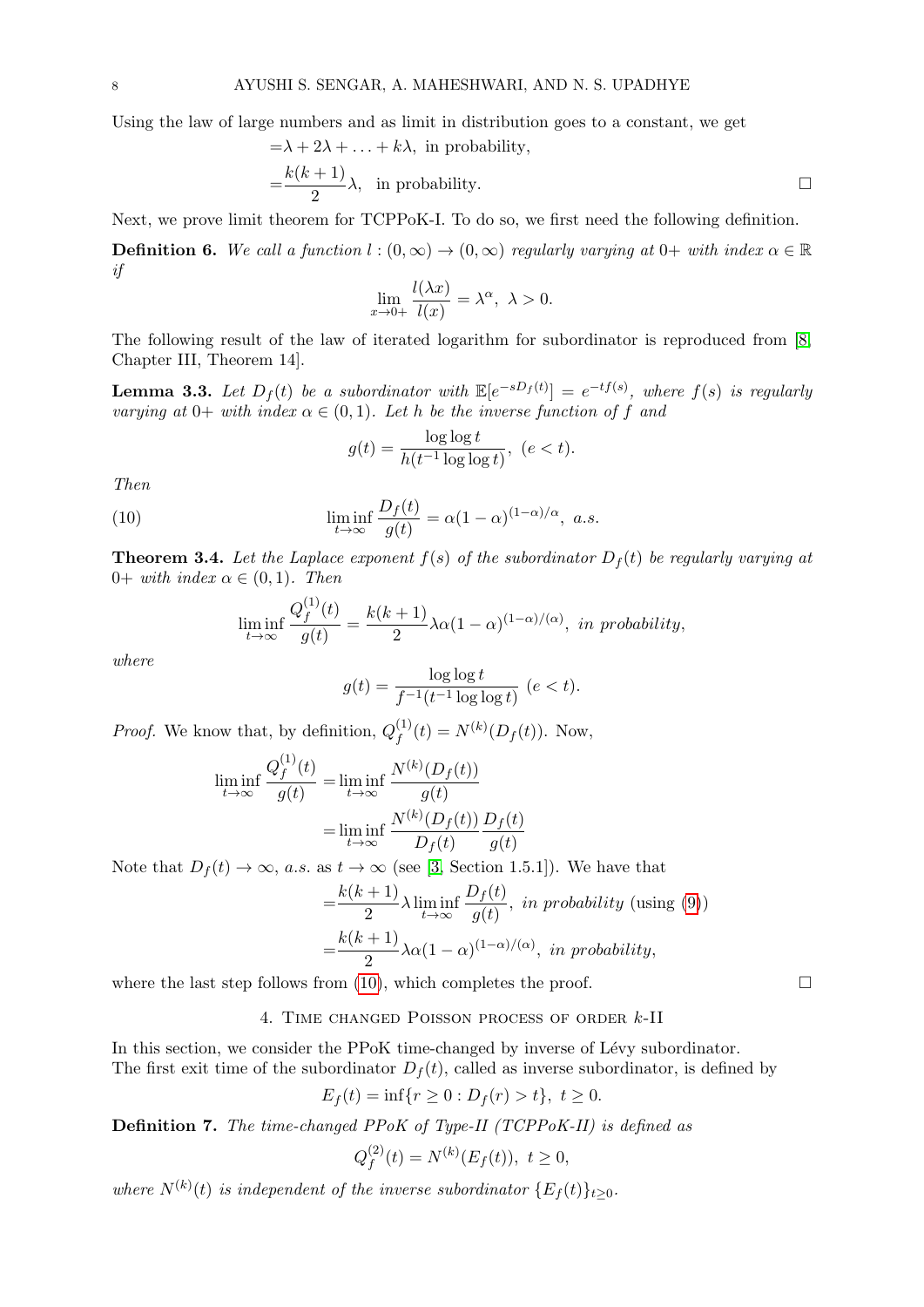Using the law of large numbers and as limit in distribution goes to a constant, we get

$$
=\lambda + 2\lambda + \dots + k\lambda, \text{ in probability,}
$$
  
= $\frac{k(k+1)}{2}\lambda$ , in probability. □

Next, we prove limit theorem for TCPPoK-I. To do so, we first need the following definition.

**Definition 6.** We call a function  $l:(0,\infty) \to (0,\infty)$  regularly varying at  $0+$  with index  $\alpha \in \mathbb{R}$ if

$$
\lim_{x \to 0+} \frac{l(\lambda x)}{l(x)} = \lambda^{\alpha}, \ \lambda > 0.
$$

The following result of the law of iterated logarithm for subordinator is reproduced from [\[8,](#page-17-26) Chapter III, Theorem 14].

**Lemma 3.3.** Let  $D_f(t)$  be a subordinator with  $\mathbb{E}[e^{-sD_f(t)}] = e^{-tf(s)}$ , where  $f(s)$  is regularly varying at 0+ with index  $\alpha \in (0,1)$ . Let h be the inverse function of f and

<span id="page-7-1"></span>
$$
g(t) = \frac{\log \log t}{h(t^{-1}\log \log t)}, \ (e < t).
$$

Then

(10) 
$$
\liminf_{t \to \infty} \frac{D_f(t)}{g(t)} = \alpha (1 - \alpha)^{(1 - \alpha)/\alpha}, \ a.s.
$$

**Theorem 3.4.** Let the Laplace exponent  $f(s)$  of the subordinator  $D_f(t)$  be regularly varying at 0+ with index  $\alpha \in (0,1)$ . Then

$$
\liminf_{t \to \infty} \frac{Q_f^{(1)}(t)}{g(t)} = \frac{k(k+1)}{2} \lambda \alpha (1-\alpha)^{(1-\alpha)/(\alpha)}, \text{ in probability,}
$$

where

$$
g(t) = \frac{\log \log t}{f^{-1}(t^{-1} \log \log t)} \quad (e < t).
$$

*Proof.* We know that, by definition,  $Q_f^{(1)}$  $f_f^{(1)}(t) = N^{(k)}(D_f(t))$ . Now,

$$
\liminf_{t \to \infty} \frac{Q_f^{(1)}(t)}{g(t)} = \liminf_{t \to \infty} \frac{N^{(k)}(D_f(t))}{g(t)}
$$

$$
= \liminf_{t \to \infty} \frac{N^{(k)}(D_f(t))}{D_f(t)} \frac{D_f(t)}{g(t)}
$$

Note that  $D_f(t) \to \infty$ , a.s. as  $t \to \infty$  (see [\[3,](#page-17-25) Section 1.5.1]). We have that

$$
= \frac{k(k+1)}{2} \lambda \liminf_{t \to \infty} \frac{D_f(t)}{g(t)}, \text{ in probability (using (9))}
$$

$$
= \frac{k(k+1)}{2} \lambda \alpha (1-\alpha)^{(1-\alpha)/(\alpha)}, \text{ in probability,}
$$

<span id="page-7-0"></span>where the last step follows from [\(10\)](#page-7-1), which completes the proof.  $\square$ 

4. Time changed Poisson process of order k-II

In this section, we consider the PPoK time-changed by inverse of Lévy subordinator. The first exit time of the subordinator  $D_f(t)$ , called as inverse subordinator, is defined by

$$
E_f(t) = \inf\{r \ge 0 : D_f(r) > t\}, \ t \ge 0.
$$

Definition 7. The time-changed PPoK of Type-II (TCPPoK-II) is defined as

$$
Q_f^{(2)}(t) = N^{(k)}(E_f(t)), \ t \ge 0,
$$

where  $N^{(k)}(t)$  is independent of the inverse subordinator  $\{E_f(t)\}_{t\geq 0}$ .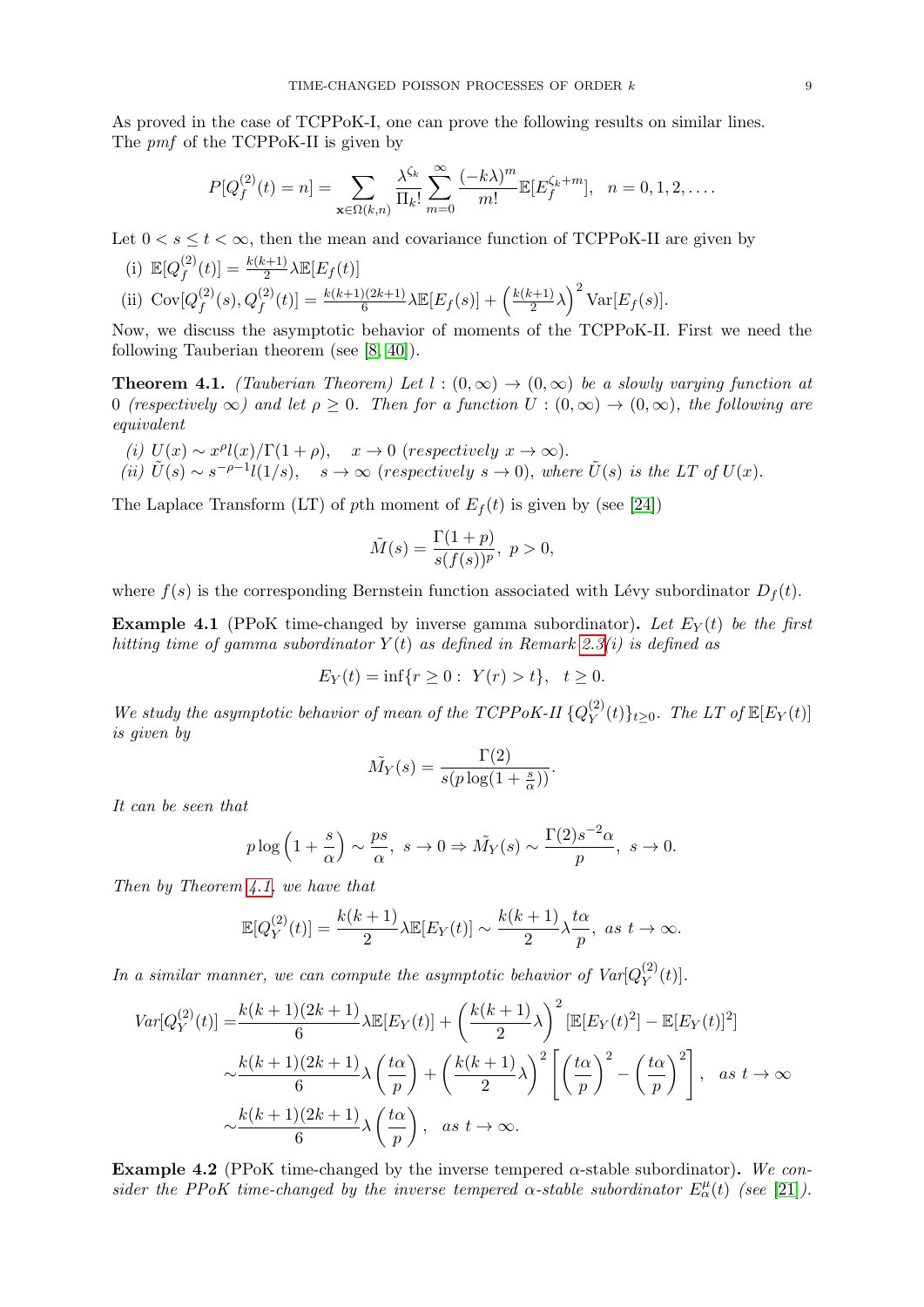As proved in the case of TCPPoK-I, one can prove the following results on similar lines. The *pmf* of the TCPPoK-II is given by

$$
P[Q_f^{(2)}(t) = n] = \sum_{\mathbf{x} \in \Omega(k,n)} \frac{\lambda^{\zeta_k}}{\Pi_k!} \sum_{m=0}^{\infty} \frac{(-k\lambda)^m}{m!} \mathbb{E}[E_f^{\zeta_k+m}], \quad n = 0, 1, 2, \dots
$$

Let  $0 < s \le t < \infty$ , then the mean and covariance function of TCPPoK-II are given by

(i) 
$$
\mathbb{E}[Q_f^{(2)}(t)] = \frac{k(k+1)}{2} \lambda \mathbb{E}[E_f(t)]
$$
  
\n(ii)  $\text{Cov}[Q_f^{(2)}(s), Q_f^{(2)}(t)] = \frac{k(k+1)(2k+1)}{6} \lambda \mathbb{E}[E_f(s)] + \left(\frac{k(k+1)}{2}\lambda\right)^2 \text{Var}[E_f(s)].$ 

Now, we discuss the asymptotic behavior of moments of the TCPPoK-II. First we need the following Tauberian theorem (see [\[8,](#page-17-26) [40\]](#page-18-11)).

<span id="page-8-0"></span>**Theorem 4.1.** (Tauberian Theorem) Let  $l : (0, \infty) \to (0, \infty)$  be a slowly varying function at 0 (respectively  $\infty$ ) and let  $\rho \geq 0$ . Then for a function  $U:(0,\infty) \to (0,\infty)$ , the following are equivalent

(i)  $U(x) \sim x^{\rho}l(x)/\Gamma(1+\rho)$ ,  $x \to 0$  (respectively  $x \to \infty$ ). (ii)  $\tilde{U}(s) \sim s^{-\rho-1} l(1/s), \quad s \to \infty$  (respectively  $s \to 0$ ), where  $\tilde{U}(s)$  is the LT of  $U(x)$ .

The Laplace Transform (LT) of pth moment of  $E_f(t)$  is given by (see [\[24\]](#page-17-11))

$$
\tilde{M}(s) = \frac{\Gamma(1+p)}{s(f(s))^p}, \ p > 0,
$$

where  $f(s)$  is the corresponding Bernstein function associated with Lévy subordinator  $D_f(t)$ .

**Example 4.1** (PPoK time-changed by inverse gamma subordinator). Let  $E_Y(t)$  be the first hitting time of gamma subordinator  $Y(t)$  as defined in Remark [2.3\(](#page-2-1)i) is defined as

$$
E_Y(t) = \inf\{r \ge 0: \ Y(r) > t\}, \ t \ge 0.
$$

We study the asymptotic behavior of mean of the TCPPoK-II  ${Q_Y^{(2)}}$  $\mathcal{L}_Y^{(2)}(t)\}_{t\geq 0}$ . The LT of  $\mathbb{E}[E_Y(t)]$ is given by

$$
\tilde{M}_Y(s) = \frac{\Gamma(2)}{s(p \log(1 + \frac{s}{\alpha}))}.
$$

It can be seen that

$$
p \log \left(1 + \frac{s}{\alpha}\right) \sim \frac{ps}{\alpha}, \ s \to 0 \Rightarrow \tilde{M}_Y(s) \sim \frac{\Gamma(2)s^{-2}\alpha}{p}, \ s \to 0.
$$

Then by Theorem [4.1,](#page-8-0) we have that

$$
\mathbb{E}[Q_Y^{(2)}(t)] = \frac{k(k+1)}{2}\lambda \mathbb{E}[E_Y(t)] \sim \frac{k(k+1)}{2}\lambda \frac{t\alpha}{p}, \text{ as } t \to \infty.
$$

In a similar manner, we can compute the asymptotic behavior of  $Var[Q_Y^{(2)}]$  $Y^{(2)}(t)].$ 

$$
Var[Q_Y^{(2)}(t)] = \frac{k(k+1)(2k+1)}{6} \lambda \mathbb{E}[E_Y(t)] + \left(\frac{k(k+1)}{2}\lambda\right)^2 \left[\mathbb{E}[E_Y(t)^2] - \mathbb{E}[E_Y(t)]^2\right]
$$

$$
\sim \frac{k(k+1)(2k+1)}{6} \lambda \left(\frac{t\alpha}{p}\right) + \left(\frac{k(k+1)}{2}\lambda\right)^2 \left[\left(\frac{t\alpha}{p}\right)^2 - \left(\frac{t\alpha}{p}\right)^2\right], \text{ as } t \to \infty
$$

$$
\sim \frac{k(k+1)(2k+1)}{6} \lambda \left(\frac{t\alpha}{p}\right), \text{ as } t \to \infty.
$$

**Example 4.2** (PPoK time-changed by the inverse tempered  $\alpha$ -stable subordinator). We consider the PPoK time-changed by the inverse tempered  $\alpha$ -stable subordinator  $E^{\mu}_{\alpha}(t)$  (see [\[21\]](#page-17-27)).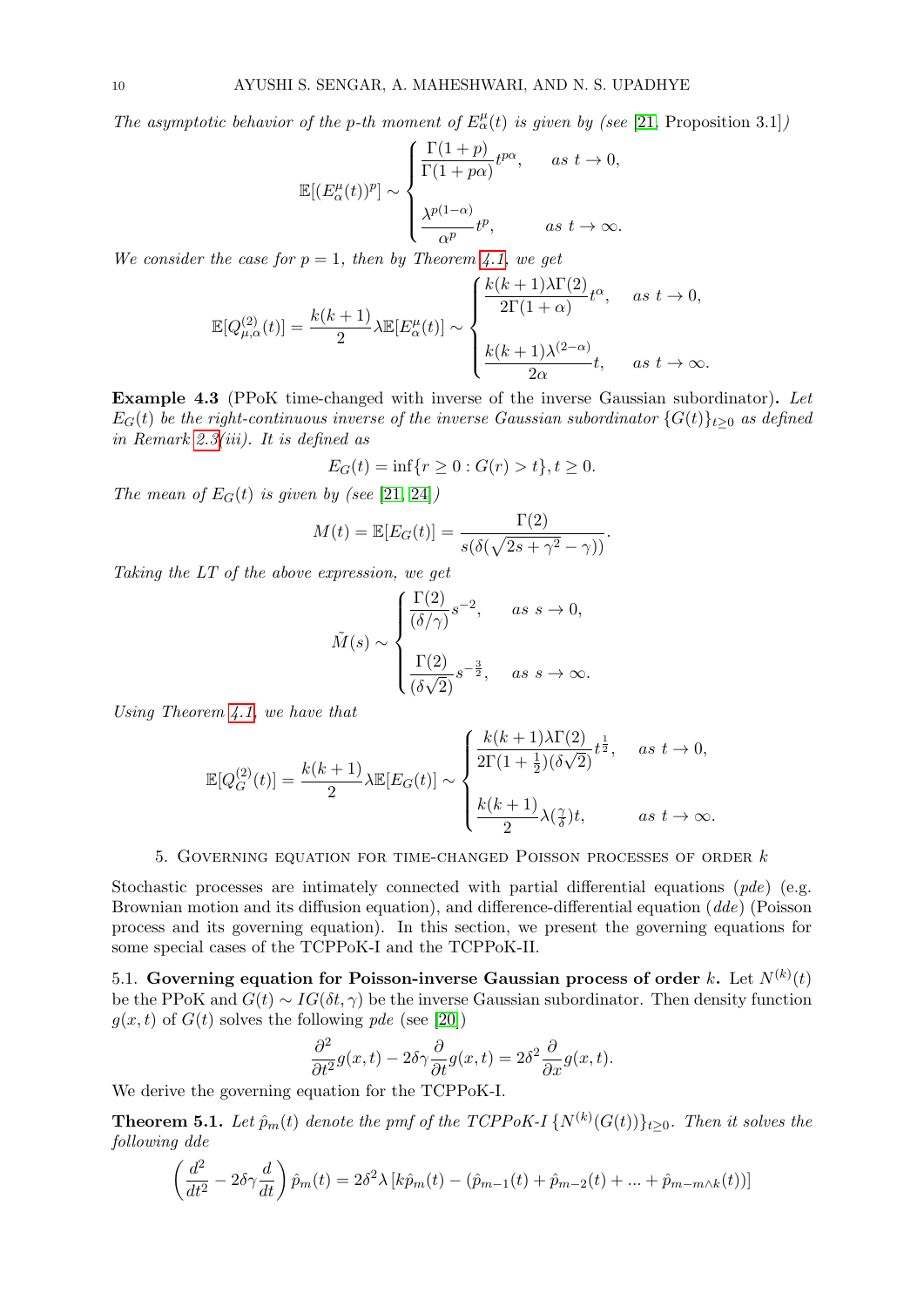The asymptotic behavior of the p-th moment of  $E^{\mu}_{\alpha}(t)$  is given by (see [\[21,](#page-17-27) Proposition 3.1])

$$
\mathbb{E}[(E_{\alpha}^{\mu}(t))^p] \sim \begin{cases} \frac{\Gamma(1+p)}{\Gamma(1+p\alpha)}t^{p\alpha}, & \text{as } t \to 0, \\ \\ \frac{\lambda^{p(1-\alpha)}}{\alpha^p}t^p, & \text{as } t \to \infty. \end{cases}
$$

We consider the case for  $p = 1$ , then by Theorem [4.1,](#page-8-0) we get

$$
\mathbb{E}[Q_{\mu,\alpha}^{(2)}(t)] = \frac{k(k+1)}{2}\lambda \mathbb{E}[E_{\alpha}^{\mu}(t)] \sim \begin{cases} \frac{k(k+1)\lambda\Gamma(2)}{2\Gamma(1+\alpha)}t^{\alpha}, & \text{as } t \to 0, \\ & \\ \frac{k(k+1)\lambda^{(2-\alpha)}}{2\alpha}t, & \text{as } t \to \infty. \end{cases}
$$

Example 4.3 (PPoK time-changed with inverse of the inverse Gaussian subordinator). Let  $E_G(t)$  be the right-continuous inverse of the inverse Gaussian subordinator  $\{G(t)\}_{t\geq0}$  as defined in Remark [2.3\(](#page-2-1)iii). It is defined as

$$
E_G(t) = \inf\{r \ge 0 : G(r) > t\}, t \ge 0.
$$

The mean of  $E_G(t)$  is given by (see [\[21,](#page-17-27) [24\]](#page-17-11))

$$
M(t) = \mathbb{E}[E_G(t)] = \frac{\Gamma(2)}{s(\delta(\sqrt{2s + \gamma^2} - \gamma))}.
$$

Taking the LT of the above expression, we get

$$
\tilde{M}(s) \sim \begin{cases}\n\frac{\Gamma(2)}{(\delta/\gamma)} s^{-2}, & \text{as } s \to 0, \\
\frac{\Gamma(2)}{(\delta\sqrt{2})} s^{-\frac{3}{2}}, & \text{as } s \to \infty.\n\end{cases}
$$

Using Theorem [4.1,](#page-8-0) we have that

$$
\mathbb{E}[Q_G^{(2)}(t)] = \frac{k(k+1)}{2}\lambda \mathbb{E}[E_G(t)] \sim \begin{cases} \frac{k(k+1)\lambda\Gamma(2)}{2\Gamma(1+\frac{1}{2})(\delta\sqrt{2})}t^{\frac{1}{2}}, & as \ t \to 0, \\ & \\ \frac{k(k+1)}{2}\lambda(\frac{\gamma}{\delta})t, & as \ t \to \infty. \end{cases}
$$

k(k + 1)λΓ(2)

### 5. Governing equation for time-changed Poisson processes of order k

<span id="page-9-0"></span>Stochastic processes are intimately connected with partial differential equations  $(\textit{pde})$  (e.g. Brownian motion and its diffusion equation), and difference-differential equation (dde) (Poisson process and its governing equation). In this section, we present the governing equations for some special cases of the TCPPoK-I and the TCPPoK-II.

5.1. Governing equation for Poisson-inverse Gaussian process of order k. Let  $N^{(k)}(t)$ be the PPoK and  $G(t) \sim IG(\delta t, \gamma)$  be the inverse Gaussian subordinator. Then density function  $q(x, t)$  of  $G(t)$  solves the following pde (see [\[20\]](#page-17-9))

$$
\frac{\partial^2}{\partial t^2}g(x,t) - 2\delta\gamma \frac{\partial}{\partial t}g(x,t) = 2\delta^2 \frac{\partial}{\partial x}g(x,t).
$$

We derive the governing equation for the TCPPoK-I.

**Theorem 5.1.** Let  $\hat{p}_m(t)$  denote the pmf of the TCPPoK-I  $\{N^{(k)}(G(t))\}_{t\geq0}$ . Then it solves the following dde

$$
\left(\frac{d^2}{dt^2} - 2\delta\gamma \frac{d}{dt}\right)\hat{p}_m(t) = 2\delta^2\lambda \left[k\hat{p}_m(t) - (\hat{p}_{m-1}(t) + \hat{p}_{m-2}(t) + \dots + \hat{p}_{m-m\wedge k}(t))\right]
$$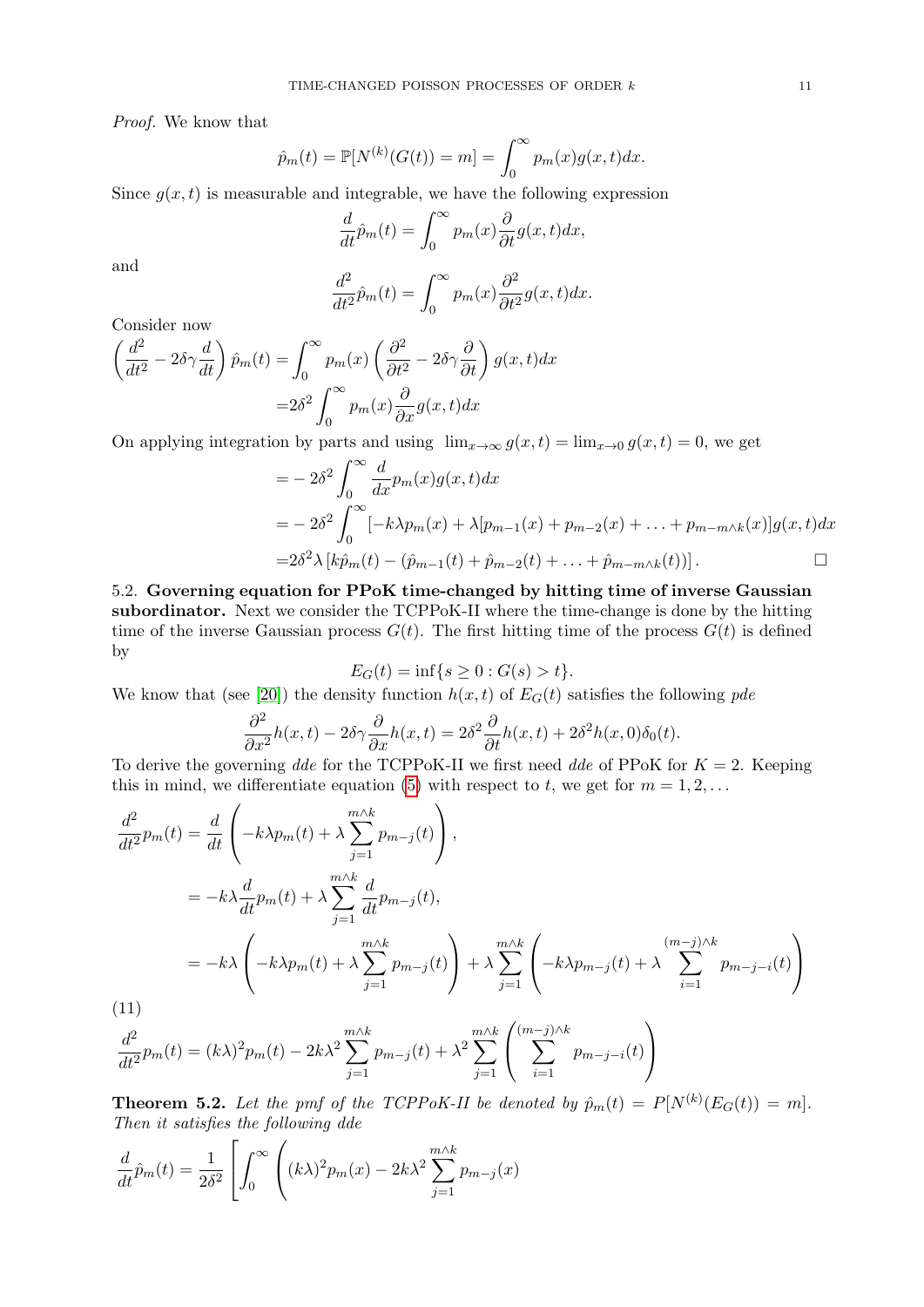Proof. We know that

$$
\hat{p}_m(t) = \mathbb{P}[N^{(k)}(G(t)) = m] = \int_0^\infty p_m(x)g(x,t)dx.
$$

Since  $g(x, t)$  is measurable and integrable, we have the following expression

$$
\frac{d}{dt}\hat{p}_m(t) = \int_0^\infty p_m(x) \frac{\partial}{\partial t} g(x, t) dx,
$$

and

$$
\frac{d^2}{dt^2}\hat{p}_m(t) = \int_0^\infty p_m(x) \frac{\partial^2}{\partial t^2} g(x, t) dx.
$$

Consider now

$$
\left(\frac{d^2}{dt^2} - 2\delta\gamma \frac{d}{dt}\right)\hat{p}_m(t) = \int_0^\infty p_m(x) \left(\frac{\partial^2}{\partial t^2} - 2\delta\gamma \frac{\partial}{\partial t}\right) g(x, t) dx
$$

$$
= 2\delta^2 \int_0^\infty p_m(x) \frac{\partial}{\partial x} g(x, t) dx
$$

On applying integration by parts and using  $\lim_{x\to\infty} g(x,t) = \lim_{x\to 0} g(x,t) = 0$ , we get

$$
= -2\delta^2 \int_0^\infty \frac{d}{dx} p_m(x) g(x, t) dx
$$
  
=  $-2\delta^2 \int_0^\infty [-k\lambda p_m(x) + \lambda [p_{m-1}(x) + p_{m-2}(x) + ... + p_{m-m\wedge k}(x)] g(x, t) dx$   
=  $2\delta^2 \lambda [k\hat{p}_m(t) - (\hat{p}_{m-1}(t) + \hat{p}_{m-2}(t) + ... + \hat{p}_{m-m\wedge k}(t))].$ 

5.2. Governing equation for PPoK time-changed by hitting time of inverse Gaussian subordinator. Next we consider the TCPPoK-II where the time-change is done by the hitting time of the inverse Gaussian process  $G(t)$ . The first hitting time of the process  $G(t)$  is defined by

$$
E_G(t) = \inf\{s \ge 0 : G(s) > t\}.
$$

We know that (see [\[20\]](#page-17-9)) the density function  $h(x, t)$  of  $E_G(t)$  satisfies the following pde

$$
\frac{\partial^2}{\partial x^2}h(x,t) - 2\delta\gamma \frac{\partial}{\partial x}h(x,t) = 2\delta^2 \frac{\partial}{\partial t}h(x,t) + 2\delta^2 h(x,0)\delta_0(t).
$$

To derive the governing dde for the TCPPoK-II we first need dde of PPoK for  $K = 2$ . Keeping this in mind, we differentiate equation [\(5\)](#page-2-2) with respect to t, we get for  $m = 1, 2, \ldots$ 

$$
\frac{d^2}{dt^2}p_m(t) = \frac{d}{dt}\left(-k\lambda p_m(t) + \lambda \sum_{j=1}^{m\wedge k} p_{m-j}(t)\right),
$$
\n
$$
= -k\lambda \frac{d}{dt}p_m(t) + \lambda \sum_{j=1}^{m\wedge k} \frac{d}{dt}p_{m-j}(t),
$$
\n
$$
= -k\lambda \left(-k\lambda p_m(t) + \lambda \sum_{j=1}^{m\wedge k} p_{m-j}(t)\right) + \lambda \sum_{j=1}^{m\wedge k} \left(-k\lambda p_{m-j}(t) + \lambda \sum_{i=1}^{(m-j)\wedge k} p_{m-j-i}(t)\right)
$$
\n(11)

<span id="page-10-0"></span>
$$
\frac{d^2}{dt^2}p_m(t) = (k\lambda)^2 p_m(t) - 2k\lambda^2 \sum_{j=1}^{m\wedge k} p_{m-j}(t) + \lambda^2 \sum_{j=1}^{m\wedge k} \left( \sum_{i=1}^{(m-j)\wedge k} p_{m-j-i}(t) \right)
$$

**Theorem 5.2.** Let the pmf of the TCPPoK-II be denoted by  $\hat{p}_m(t) = P[N^{(k)}(E_G(t)) = m]$ . Then it satisfies the following dde

$$
\frac{d}{dt}\hat{p}_m(t) = \frac{1}{2\delta^2} \left[ \int_0^\infty \left( (k\lambda)^2 p_m(x) - 2k\lambda^2 \sum_{j=1}^{m\wedge k} p_{m-j}(x) \right) \right]
$$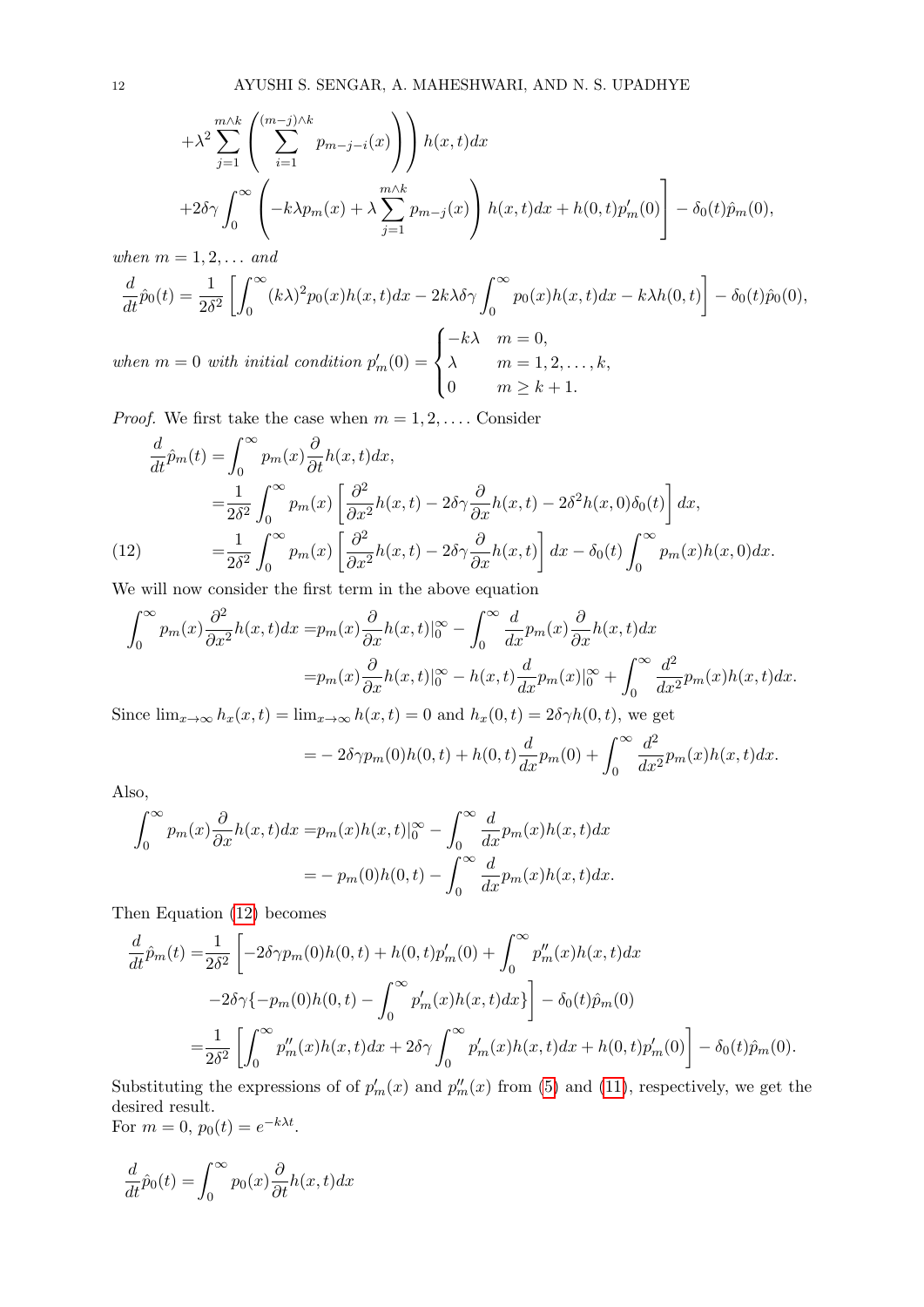$$
+\lambda^{2} \sum_{j=1}^{m \wedge k} \left( \sum_{i=1}^{(m-j) \wedge k} p_{m-j-i}(x) \right) h(x,t) dx
$$
  
+2\delta \gamma \int\_{0}^{\infty} \left( -k\lambda p\_{m}(x) + \lambda \sum\_{j=1}^{m \wedge k} p\_{m-j}(x) \right) h(x,t) dx + h(0,t) p'\_{m}(0) - \delta\_{0}(t) \hat{p}\_{m}(0),

when  $m = 1, 2, \ldots$  and

$$
\frac{d}{dt}\hat{p}_0(t) = \frac{1}{2\delta^2} \left[ \int_0^\infty (k\lambda)^2 p_0(x)h(x,t)dx - 2k\lambda\delta\gamma \int_0^\infty p_0(x)h(x,t)dx - k\lambda h(0,t) \right] - \delta_0(t)\hat{p}_0(0),
$$
\n
$$
\int_{-\infty}^{-k\lambda} m = 0,
$$

when  $m = 0$  with initial condition  $p'_m(0) = \begin{cases} \end{cases}$  $\overline{\mathcal{L}}$  $\lambda$   $m = 1, 2, \ldots, k,$ 0  $m \geq k+1$ .

*Proof.* We first take the case when  $m = 1, 2, \ldots$ . Consider

$$
\frac{d}{dt}\hat{p}_m(t) = \int_0^\infty p_m(x) \frac{\partial}{\partial t} h(x, t) dx,
$$
\n
$$
= \frac{1}{2\delta^2} \int_0^\infty p_m(x) \left[ \frac{\partial^2}{\partial x^2} h(x, t) - 2\delta \gamma \frac{\partial}{\partial x} h(x, t) - 2\delta^2 h(x, 0) \delta_0(t) \right] dx,
$$
\n(12)\n
$$
= \frac{1}{2\delta^2} \int_0^\infty p_m(x) \left[ \frac{\partial^2}{\partial x^2} h(x, t) - 2\delta \gamma \frac{\partial}{\partial x} h(x, t) \right] dx - \delta_0(t) \int_0^\infty p_m(x) h(x, 0) dx.
$$

<span id="page-11-0"></span>We will now consider the first term in the above equation

$$
\int_0^\infty p_m(x) \frac{\partial^2}{\partial x^2} h(x, t) dx = p_m(x) \frac{\partial}{\partial x} h(x, t) \Big|_0^\infty - \int_0^\infty \frac{d}{dx} p_m(x) \frac{\partial}{\partial x} h(x, t) dx
$$
  
=  $p_m(x) \frac{\partial}{\partial x} h(x, t) \Big|_0^\infty - h(x, t) \frac{d}{dx} p_m(x) \Big|_0^\infty + \int_0^\infty \frac{d^2}{dx^2} p_m(x) h(x, t) dx.$ 

Since  $\lim_{x\to\infty} h_x(x,t) = \lim_{x\to\infty} h(x,t) = 0$  and  $h_x(0,t) = 2\delta \gamma h(0,t)$ , we get

$$
= -2\delta\gamma p_m(0)h(0,t) + h(0,t)\frac{d}{dx}p_m(0) + \int_0^\infty \frac{d^2}{dx^2}p_m(x)h(x,t)dx.
$$

Also,

$$
\int_0^\infty p_m(x) \frac{\partial}{\partial x} h(x, t) dx = p_m(x)h(x, t)|_0^\infty - \int_0^\infty \frac{d}{dx} p_m(x)h(x, t) dx
$$
  
= 
$$
- p_m(0)h(0, t) - \int_0^\infty \frac{d}{dx} p_m(x)h(x, t) dx.
$$

Then Equation [\(12\)](#page-11-0) becomes

$$
\frac{d}{dt}\hat{p}_m(t) = \frac{1}{2\delta^2} \left[ -2\delta\gamma p_m(0)h(0,t) + h(0,t)p_m'(0) + \int_0^\infty p_m''(x)h(x,t)dx -2\delta\gamma\{-p_m(0)h(0,t) - \int_0^\infty p_m'(x)h(x,t)dx\} \right] - \delta_0(t)\hat{p}_m(0)
$$
\n
$$
= \frac{1}{2\delta^2} \left[ \int_0^\infty p_m''(x)h(x,t)dx + 2\delta\gamma \int_0^\infty p_m'(x)h(x,t)dx + h(0,t)p_m'(0) \right] - \delta_0(t)\hat{p}_m(0).
$$

Substituting the expressions of of  $p'_m(x)$  and  $p''_m(x)$  from [\(5\)](#page-2-2) and [\(11\)](#page-10-0), respectively, we get the desired result. For  $m = 0$ ,  $p_0(t) = e^{-k\lambda t}$ .

$$
\frac{d}{dt}\hat{p}_0(t) = \int_0^\infty p_0(x)\frac{\partial}{\partial t}h(x,t)dx
$$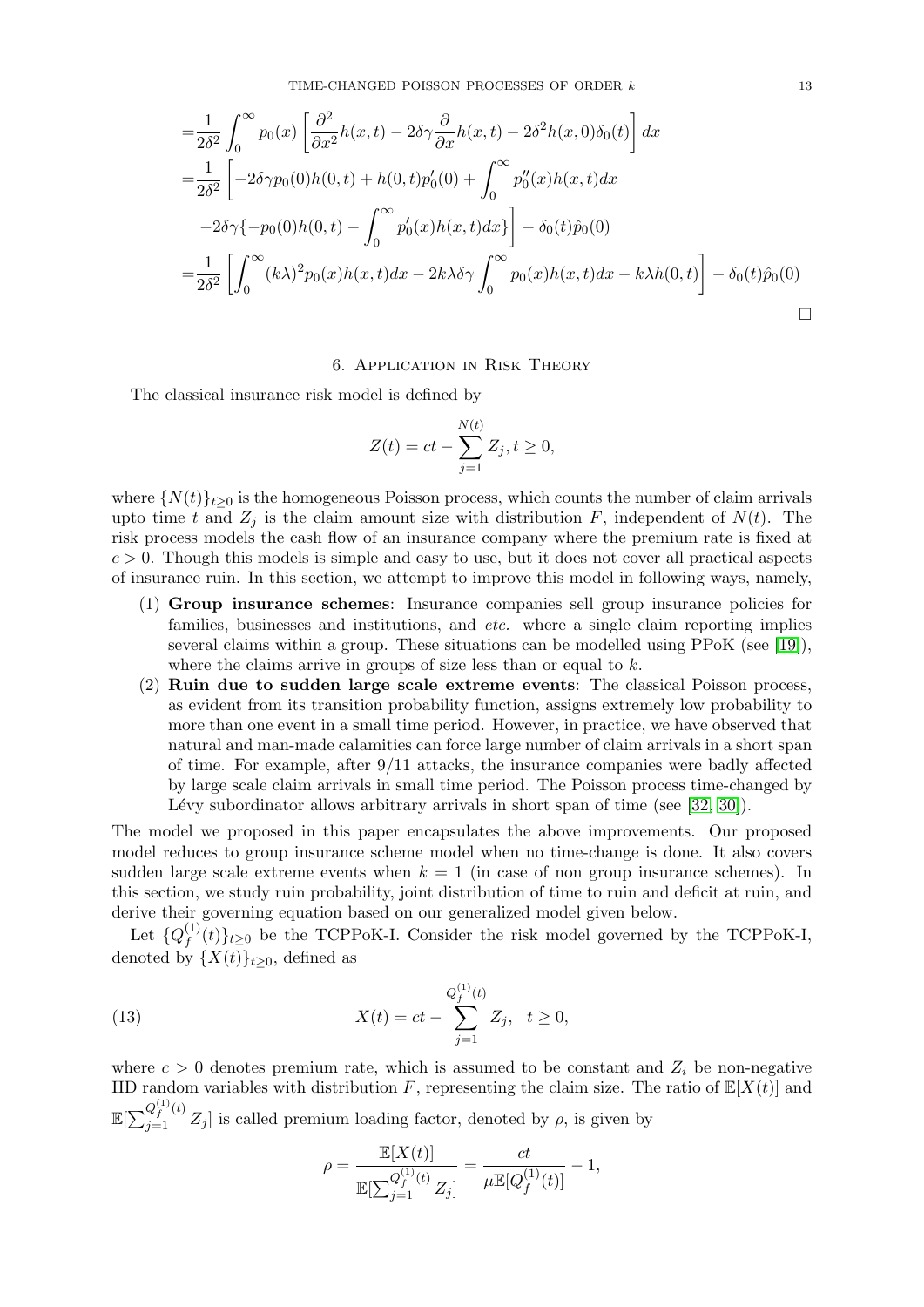TIME-CHANGED POISSON PROCESSES OF ORDER  $k$  13

$$
\begin{split}\n&=\frac{1}{2\delta^2} \int_0^\infty p_0(x) \left[ \frac{\partial^2}{\partial x^2} h(x,t) - 2\delta \gamma \frac{\partial}{\partial x} h(x,t) - 2\delta^2 h(x,0)\delta_0(t) \right] dx \\
&=\frac{1}{2\delta^2} \left[ -2\delta \gamma p_0(0)h(0,t) + h(0,t)p_0'(0) + \int_0^\infty p_0''(x)h(x,t)dx \right. \\
&\left. -2\delta \gamma \{-p_0(0)h(0,t) - \int_0^\infty p_0'(x)h(x,t)dx\} \right] - \delta_0(t)\hat{p}_0(0) \\
&=\frac{1}{2\delta^2} \left[ \int_0^\infty (k\lambda)^2 p_0(x)h(x,t)dx - 2k\lambda \delta \gamma \int_0^\infty p_0(x)h(x,t)dx - k\lambda h(0,t) \right] - \delta_0(t)\hat{p}_0(0)\n\end{split}
$$

## 6. Application in Risk Theory

<span id="page-12-0"></span>The classical insurance risk model is defined by

$$
Z(t) = ct - \sum_{j=1}^{N(t)} Z_j, t \ge 0,
$$

where  $\{N(t)\}_{t\geq0}$  is the homogeneous Poisson process, which counts the number of claim arrivals upto time t and  $Z_i$  is the claim amount size with distribution F, independent of  $N(t)$ . The risk process models the cash flow of an insurance company where the premium rate is fixed at  $c > 0$ . Though this models is simple and easy to use, but it does not cover all practical aspects of insurance ruin. In this section, we attempt to improve this model in following ways, namely,

- (1) Group insurance schemes: Insurance companies sell group insurance policies for families, businesses and institutions, and *etc.* where a single claim reporting implies several claims within a group. These situations can be modelled using PPoK (see [\[19\]](#page-17-3)), where the claims arrive in groups of size less than or equal to  $k$ .
- (2) Ruin due to sudden large scale extreme events: The classical Poisson process, as evident from its transition probability function, assigns extremely low probability to more than one event in a small time period. However, in practice, we have observed that natural and man-made calamities can force large number of claim arrivals in a short span of time. For example, after  $9/11$  attacks, the insurance companies were badly affected by large scale claim arrivals in small time period. The Poisson process time-changed by Lévy subordinator allows arbitrary arrivals in short span of time (see  $[32, 30]$  $[32, 30]$ ).

The model we proposed in this paper encapsulates the above improvements. Our proposed model reduces to group insurance scheme model when no time-change is done. It also covers sudden large scale extreme events when  $k = 1$  (in case of non group insurance schemes). In this section, we study ruin probability, joint distribution of time to ruin and deficit at ruin, and derive their governing equation based on our generalized model given below.

Let  $\{Q_f^{(1)}\}$  $f^{(1)}(t)\}_{t\geq0}$  be the TCPPoK-I. Consider the risk model governed by the TCPPoK-I, denoted by  $\{X(t)\}_{t\geq0}$ , defined as

(13) 
$$
X(t) = ct - \sum_{j=1}^{Q_f^{(1)}(t)} Z_j, \quad t \ge 0,
$$

where  $c > 0$  denotes premium rate, which is assumed to be constant and  $Z_i$  be non-negative IID random variables with distribution F, representing the claim size. The ratio of  $\mathbb{E}[X(t)]$  and  $\mathbb{E}[\sum_{j=1}^{Q_f^{(1)}(t)} Z_j]$  is called premium loading factor, denoted by  $\rho$ , is given by

<span id="page-12-1"></span>
$$
\rho = \frac{\mathbb{E}[X(t)]}{\mathbb{E}[\sum_{j=1}^{Q_f^{(1)}(t)}Z_j]} = \frac{ct}{\mu \mathbb{E}[Q_f^{(1)}(t)]} - 1,
$$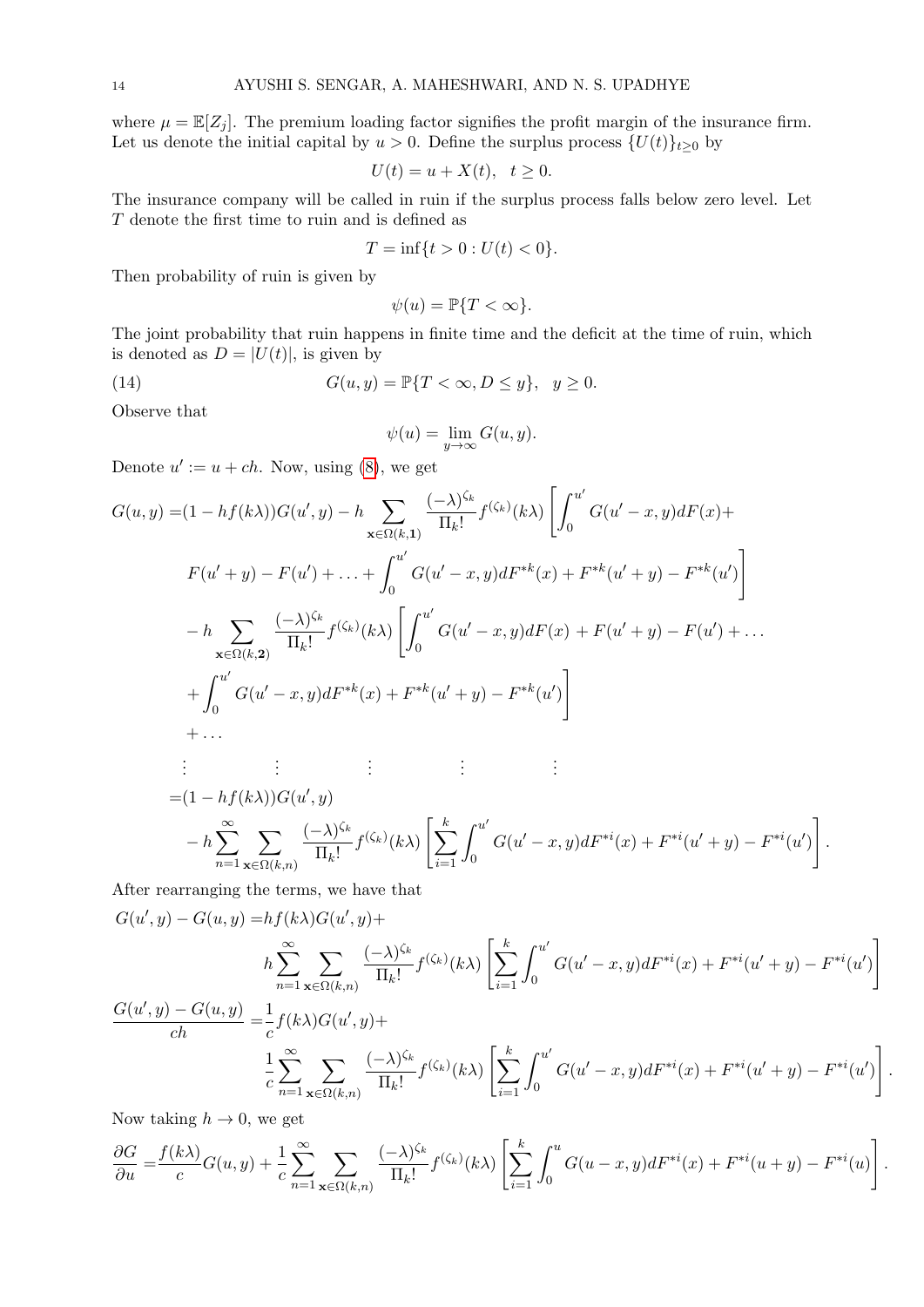where  $\mu = \mathbb{E}[Z_i]$ . The premium loading factor signifies the profit margin of the insurance firm. Let us denote the initial capital by  $u > 0$ . Define the surplus process  $\{U(t)\}_{t\geq 0}$  by

$$
U(t) = u + X(t), \quad t \ge 0.
$$

The insurance company will be called in ruin if the surplus process falls below zero level. Let  ${\cal T}$  denote the first time to ruin and is defined as

$$
T = \inf\{t > 0 : U(t) < 0\}.
$$

Then probability of ruin is given by

$$
\psi(u) = \mathbb{P}\{T < \infty\}.
$$

The joint probability that ruin happens in finite time and the deficit at the time of ruin, which is denoted as  $D = |U(t)|$ , is given by

(14) 
$$
G(u, y) = \mathbb{P}\{T < \infty, D \le y\}, \quad y \ge 0.
$$

Observe that

<span id="page-13-0"></span>
$$
\psi(u) = \lim_{y \to \infty} G(u, y).
$$

Denote  $u' := u + ch$ . Now, using [\(8\)](#page-4-1), we get

$$
G(u, y) = (1 - hf(k\lambda))G(u', y) - h \sum_{\mathbf{x} \in \Omega(k, 1)} \frac{(-\lambda)^{\zeta_k}}{\Pi_k!} f^{(\zeta_k)}(k\lambda) \left[ \int_0^{u'} G(u' - x, y) dF(x) + F(u' + y) - F(u') + \dots + \int_0^{u'} G(u' - x, y) dF^{*k}(x) + F^{*k}(u' + y) - F^{*k}(u') \right]
$$
  

$$
- h \sum_{\mathbf{x} \in \Omega(k, 2)} \frac{(-\lambda)^{\zeta_k}}{\Pi_k!} f^{(\zeta_k)}(k\lambda) \left[ \int_0^{u'} G(u' - x, y) dF(x) + F(u' + y) - F(u') + \dots + \int_0^{u'} G(u' - x, y) dF^{*k}(x) + F^{*k}(u' + y) - F^{*k}(u') \right]
$$
  
+ ...  

$$
\vdots \qquad \vdots \qquad \vdots \qquad \vdots \qquad \vdots \qquad \vdots \qquad \vdots
$$
  

$$
= (1 - hf(k\lambda))G(u', y)
$$
  

$$
- h \sum_{n=1}^{\infty} \sum_{\mathbf{x} \in \Omega(k, n)} \frac{(-\lambda)^{\zeta_k}}{\Pi_k!} f^{(\zeta_k)}(k\lambda) \left[ \sum_{i=1}^k \int_0^{u'} G(u' - x, y) dF^{*i}(x) + F^{*i}(u' + y) - F^{*i}(u') \right]
$$

After rearranging the terms, we have that

$$
G(u', y) - G(u, y) = hf(k\lambda)G(u', y) +
$$
\n
$$
h \sum_{n=1}^{\infty} \sum_{\mathbf{x} \in \Omega(k,n)} \frac{(-\lambda)^{\zeta_k}}{\Pi_k!} f^{(\zeta_k)}(k\lambda) \left[ \sum_{i=1}^k \int_0^{u'} G(u' - x, y) dF^{*i}(x) + F^{*i}(u' + y) - F^{*i}(u') \right]
$$
\n
$$
\frac{G(u', y) - G(u, y)}{ch} = \frac{1}{c} f(k\lambda)G(u', y) +
$$
\n
$$
\frac{1}{c} \sum_{n=1}^{\infty} \sum_{\mathbf{x} \in \Omega(k,n)} \frac{(-\lambda)^{\zeta_k}}{\Pi_k!} f^{(\zeta_k)}(k\lambda) \left[ \sum_{i=1}^k \int_0^{u'} G(u' - x, y) dF^{*i}(x) + F^{*i}(u' + y) - F^{*i}(u') \right]
$$

1 .

.

Now taking  $h \to 0$ , we get

$$
\frac{\partial G}{\partial u} = \frac{f(k\lambda)}{c}G(u,y) + \frac{1}{c}\sum_{n=1}^{\infty}\sum_{\mathbf{x}\in\Omega(k,n)}\frac{(-\lambda)^{\zeta_k}}{\Pi_k!}f^{(\zeta_k)}(k\lambda)\left[\sum_{i=1}^k\int_0^uG(u-x,y)dF^{*i}(x) + F^{*i}(u+y) - F^{*i}(u)\right].
$$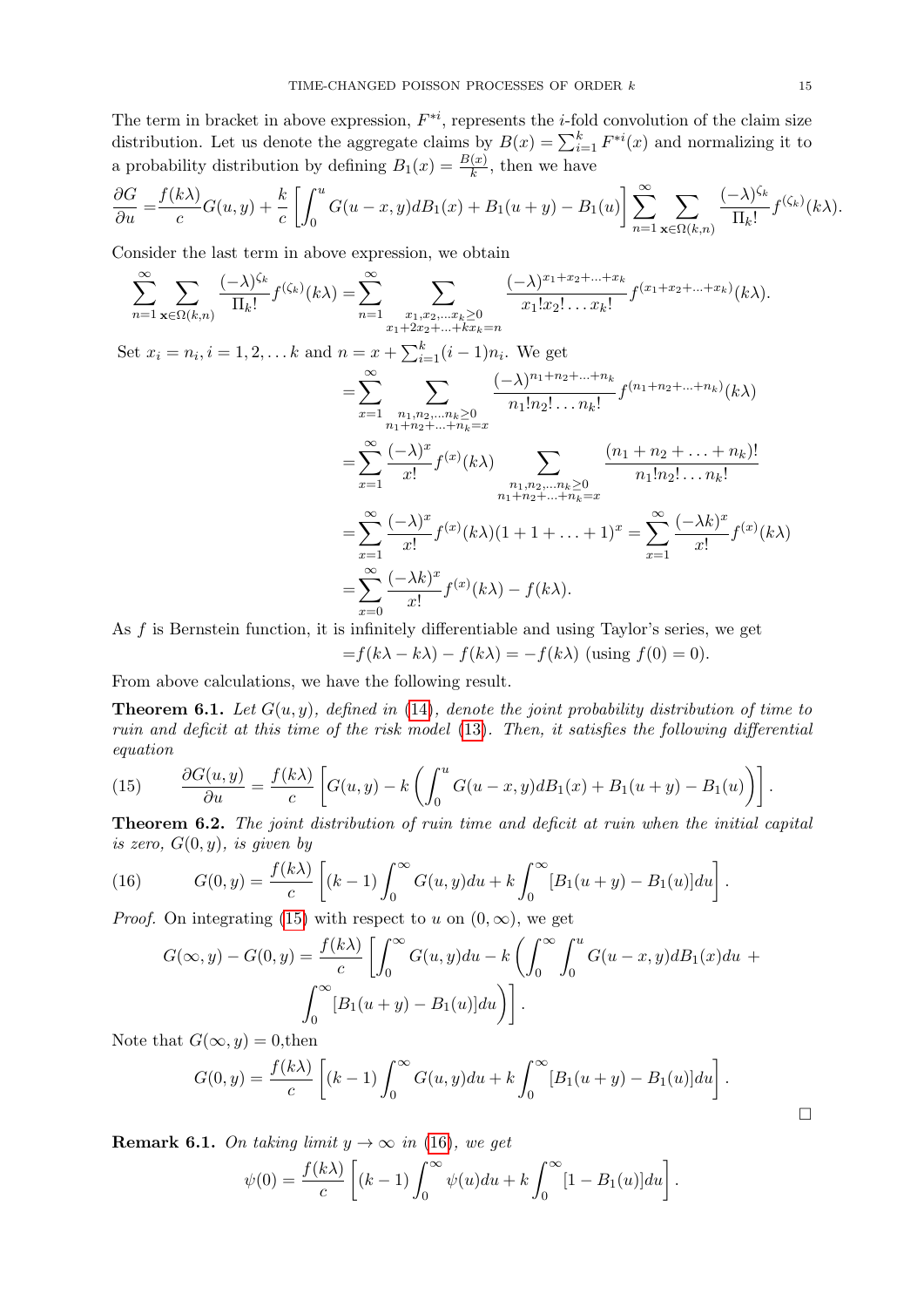The term in bracket in above expression,  $F^{*i}$ , represents the *i*-fold convolution of the claim size distribution. Let us denote the aggregate claims by  $B(x) = \sum_{i=1}^{k} F^{*i}(x)$  and normalizing it to a probability distribution by defining  $B_1(x) = \frac{B(x)}{k}$ , then we have

$$
\frac{\partial G}{\partial u} = \frac{f(k\lambda)}{c}G(u,y) + \frac{k}{c}\left[\int_0^u G(u-x,y)dB_1(x) + B_1(u+y) - B_1(u)\right] \sum_{n=1}^{\infty} \sum_{\mathbf{x}\in\Omega(k,n)} \frac{(-\lambda)^{\zeta_k}}{\Pi_k!} f^{(\zeta_k)}(k\lambda).
$$

Consider the last term in above expression, we obtain

$$
\sum_{n=1}^{\infty} \sum_{\mathbf{x} \in \Omega(k,n)} \frac{(-\lambda)^{\zeta_k}}{\Pi_k!} f^{(\zeta_k)}(k\lambda) = \sum_{n=1}^{\infty} \sum_{\substack{x_1, x_2, \dots, x_k \ge 0 \\ x_1 + 2x_2 + \dots + kx_k = n}} \frac{(-\lambda)^{x_1 + x_2 + \dots + x_k}}{x_1! x_2! \dots x_k!} f^{(x_1 + x_2 + \dots + x_k)}(k\lambda).
$$

Set  $x_i = n_i, i = 1, 2, \dots k$  and  $n = x + \sum_{i=1}^{k} (i-1)n_i$ . We get

$$
= \sum_{x=1}^{\infty} \sum_{\substack{n_1, n_2, \dots, n_k \ge 0 \\ n_1 + n_2 + \dots + n_k = x}} \frac{(-\lambda)^{n_1 + n_2 + \dots + n_k}}{n_1! n_2! \dots n_k!} f^{(n_1 + n_2 + \dots + n_k)}(k\lambda)
$$
  

$$
= \sum_{x=1}^{\infty} \frac{(-\lambda)^x}{x!} f^{(x)}(k\lambda) \sum_{\substack{n_1, n_2, \dots, n_k \ge 0 \\ n_1 + n_2 + \dots + n_k = x}} \frac{(n_1 + n_2 + \dots + n_k)!}{n_1! n_2! \dots n_k!}
$$
  

$$
= \sum_{x=1}^{\infty} \frac{(-\lambda)^x}{x!} f^{(x)}(k\lambda)(1 + 1 + \dots + 1)^x = \sum_{x=1}^{\infty} \frac{(-\lambda k)^x}{x!} f^{(x)}(k\lambda)
$$
  

$$
= \sum_{x=0}^{\infty} \frac{(-\lambda k)^x}{x!} f^{(x)}(k\lambda) - f(k\lambda).
$$

As f is Bernstein function, it is infinitely differentiable and using Taylor's series, we get

$$
=f(k\lambda - k\lambda) - f(k\lambda) = -f(k\lambda)
$$
 (using  $f(0) = 0$ ).

From above calculations, we have the following result.

**Theorem 6.1.** Let  $G(u, y)$ , defined in [\(14\)](#page-13-0), denote the joint probability distribution of time to ruin and deficit at this time of the risk model [\(13\)](#page-12-1). Then, it satisfies the following differential equation

<span id="page-14-0"></span>(15) 
$$
\frac{\partial G(u,y)}{\partial u} = \frac{f(k\lambda)}{c} \left[ G(u,y) - k \left( \int_0^u G(u-x,y) dB_1(x) + B_1(u+y) - B_1(u) \right) \right].
$$

Theorem 6.2. The joint distribution of ruin time and deficit at ruin when the initial capital is zero,  $G(0, y)$ , is given by

(16) 
$$
G(0, y) = \frac{f(k\lambda)}{c} \left[ (k-1) \int_0^\infty G(u, y) du + k \int_0^\infty [B_1(u+y) - B_1(u)] du \right].
$$

*Proof.* On integrating [\(15\)](#page-14-0) with respect to u on  $(0, \infty)$ , we get

<span id="page-14-1"></span>
$$
G(\infty, y) - G(0, y) = \frac{f(k\lambda)}{c} \left[ \int_0^\infty G(u, y) du - k \left( \int_0^\infty \int_0^u G(u - x, y) dB_1(x) du + \int_0^\infty [B_1(u + y) - B_1(u)] du \right) \right].
$$

Note that  $G(\infty, y) = 0$ , then

$$
G(0, y) = \frac{f(k\lambda)}{c} \left[ (k-1) \int_0^\infty G(u, y) du + k \int_0^\infty [B_1(u+y) - B_1(u)] du \right].
$$

**Remark 6.1.** On taking limit  $y \to \infty$  in [\(16\)](#page-14-1), we get

$$
\psi(0) = \frac{f(k\lambda)}{c} \left[ (k-1) \int_0^\infty \psi(u) du + k \int_0^\infty [1 - B_1(u)] du \right].
$$

 $\Box$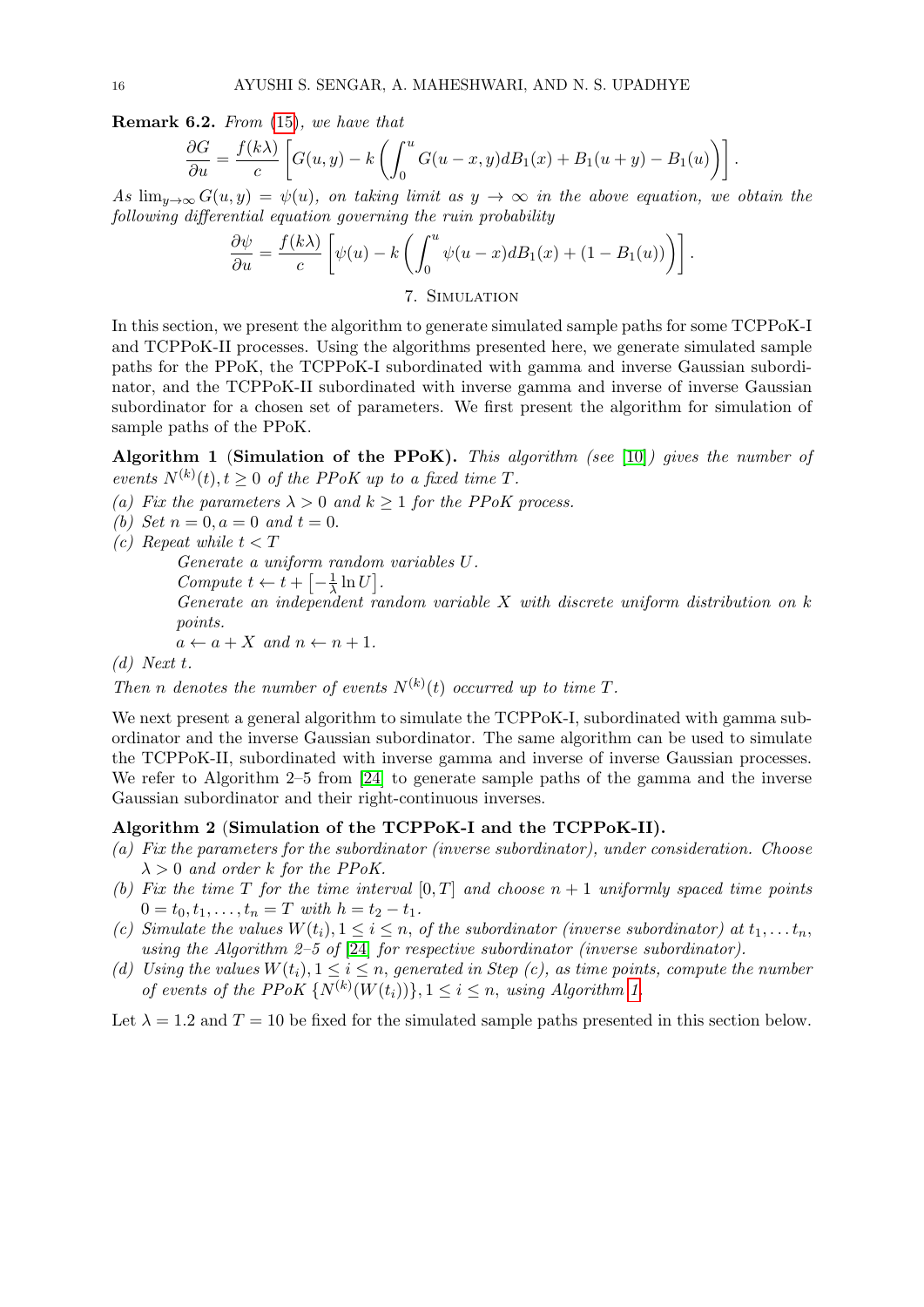Remark 6.2. From [\(15\)](#page-14-0), we have that

$$
\frac{\partial G}{\partial u} = \frac{f(k\lambda)}{c} \left[ G(u, y) - k \left( \int_0^u G(u - x, y) dB_1(x) + B_1(u + y) - B_1(u) \right) \right].
$$

As  $\lim_{u\to\infty} G(u, y) = \psi(u)$ , on taking limit as  $y \to \infty$  in the above equation, we obtain the following differential equation governing the ruin probability

$$
\frac{\partial \psi}{\partial u} = \frac{f(k\lambda)}{c} \left[ \psi(u) - k \left( \int_0^u \psi(u-x) dB_1(x) + (1 - B_1(u)) \right) \right].
$$
  
7. SIMULATION

<span id="page-15-0"></span>In this section, we present the algorithm to generate simulated sample paths for some TCPPoK-I and TCPPoK-II processes. Using the algorithms presented here, we generate simulated sample paths for the PPoK, the TCPPoK-I subordinated with gamma and inverse Gaussian subordinator, and the TCPPoK-II subordinated with inverse gamma and inverse of inverse Gaussian subordinator for a chosen set of parameters. We first present the algorithm for simulation of sample paths of the PPoK.

<span id="page-15-1"></span>Algorithm 1 (Simulation of the PPoK). This algorithm (see [\[10\]](#page-17-28)) gives the number of events  $N^{(k)}(t)$ ,  $t \geq 0$  of the PPoK up to a fixed time T.

- (a) Fix the parameters  $\lambda > 0$  and  $k > 1$  for the PPoK process.
- (b) Set  $n = 0$ ,  $a = 0$  and  $t = 0$ .

(c) Repeat while  $t < T$ 

Generate a uniform random variables U.

Compute  $t \leftarrow t + \left[-\frac{1}{\lambda}\right]$  $\frac{1}{\lambda} \ln U$ .

Generate an independent random variable  $X$  with discrete uniform distribution on  $k$ points.

$$
a \leftarrow a + X \text{ and } n \leftarrow n + 1.
$$

(d) Next t.

Then n denotes the number of events  $N^{(k)}(t)$  occurred up to time T.

We next present a general algorithm to simulate the TCPPoK-I, subordinated with gamma subordinator and the inverse Gaussian subordinator. The same algorithm can be used to simulate the TCPPoK-II, subordinated with inverse gamma and inverse of inverse Gaussian processes. We refer to Algorithm 2–5 from [\[24\]](#page-17-11) to generate sample paths of the gamma and the inverse Gaussian subordinator and their right-continuous inverses.

# Algorithm 2 (Simulation of the TCPPoK-I and the TCPPoK-II).

- (a) Fix the parameters for the subordinator (inverse subordinator), under consideration. Choose  $\lambda > 0$  and order k for the PPoK.
- (b) Fix the time T for the time interval  $[0, T]$  and choose  $n + 1$  uniformly spaced time points  $0 = t_0, t_1, \ldots, t_n = T$  with  $h = t_2 - t_1$ .
- (c) Simulate the values  $W(t_i)$ ,  $1 \leq i \leq n$ , of the subordinator (inverse subordinator) at  $t_1, \ldots t_n$ , using the Algorithm 2–5 of [\[24\]](#page-17-11) for respective subordinator (inverse subordinator).
- (d) Using the values  $W(t_i)$ ,  $1 \leq i \leq n$ , generated in Step (c), as time points, compute the number of events of the PPoK  $\{N^{(k)}(W(t_i))\}, 1 \leq i \leq n$ , using Algorithm [1.](#page-15-1)

Let  $\lambda = 1.2$  and  $T = 10$  be fixed for the simulated sample paths presented in this section below.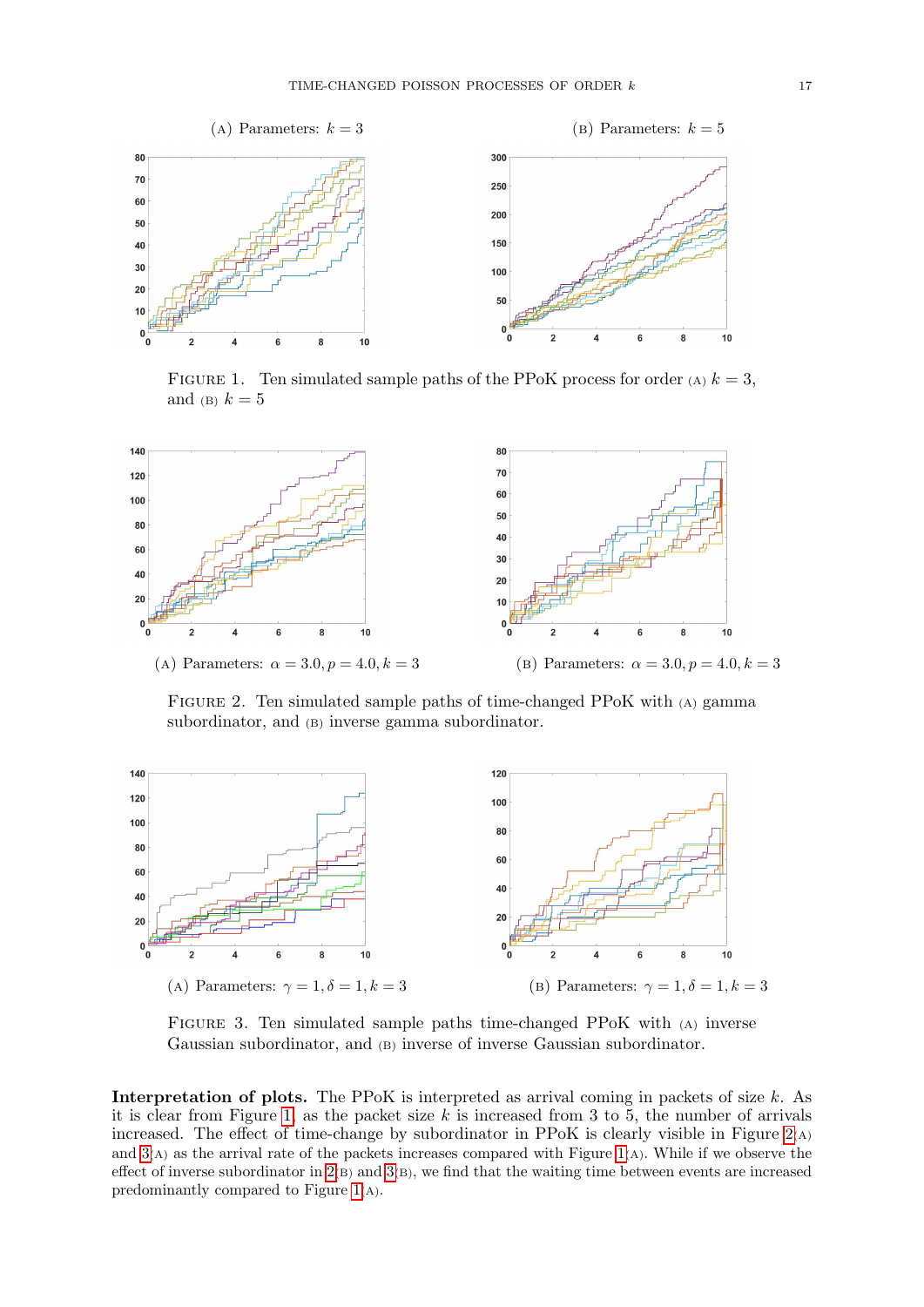<span id="page-16-0"></span>

FIGURE 1. Ten simulated sample paths of the PPoK process for order (A)  $k = 3$ , and (B)  $k = 5$ 

<span id="page-16-1"></span>

Figure 2. Ten simulated sample paths of time-changed PPoK with (A) gamma subordinator, and (B) inverse gamma subordinator.

<span id="page-16-2"></span>

Figure 3. Ten simulated sample paths time-changed PPoK with (A) inverse Gaussian subordinator, and (B) inverse of inverse Gaussian subordinator.

Interpretation of plots. The PPoK is interpreted as arrival coming in packets of size  $k$ . As it is clear from Figure [1,](#page-16-0) as the packet size  $k$  is increased from 3 to 5, the number of arrivals increased. The effect of time-change by subordinator in PPoK is clearly visible in Figure  $2(A)$  $2(A)$ and  $3(A)$  as the arrival rate of the packets increases compared with Figure [1](#page-16-0)(A). While if we observe the effect of inverse subordinator in [2](#page-16-1)(B) and [3](#page-16-2)(B), we find that the waiting time between events are increased predominantly compared to Figure [1](#page-16-0)(A).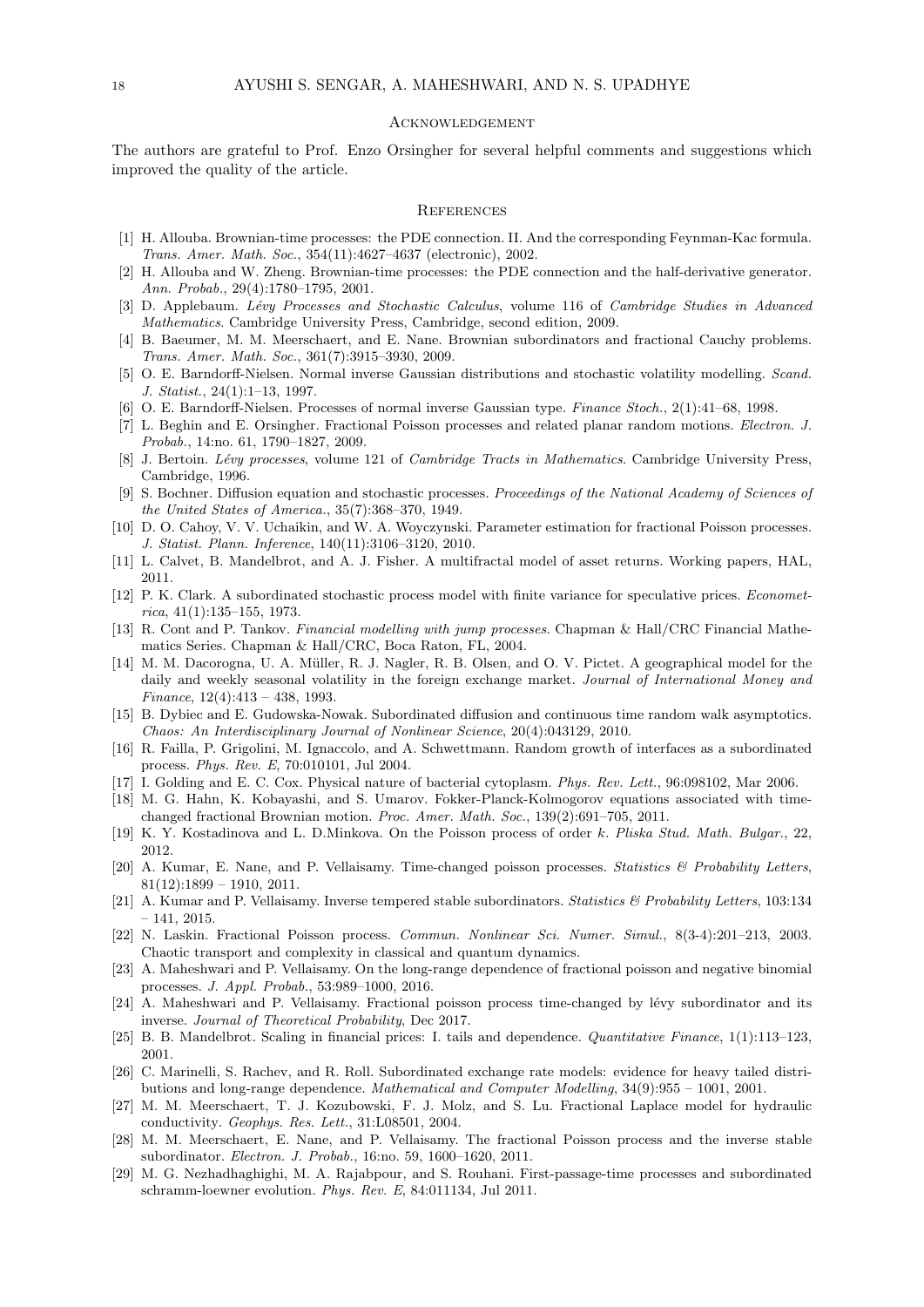### **ACKNOWLEDGEMENT**

The authors are grateful to Prof. Enzo Orsingher for several helpful comments and suggestions which improved the quality of the article.

### **REFERENCES**

- <span id="page-17-5"></span>[1] H. Allouba. Brownian-time processes: the PDE connection. II. And the corresponding Feynman-Kac formula. Trans. Amer. Math. Soc., 354(11):4627–4637 (electronic), 2002.
- <span id="page-17-6"></span>[2] H. Allouba and W. Zheng. Brownian-time processes: the PDE connection and the half-derivative generator. Ann. Probab., 29(4):1780–1795, 2001.
- <span id="page-17-25"></span>[3] D. Applebaum. Lévy Processes and Stochastic Calculus, volume 116 of Cambridge Studies in Advanced Mathematics. Cambridge University Press, Cambridge, second edition, 2009.
- <span id="page-17-7"></span>[4] B. Baeumer, M. M. Meerschaert, and E. Nane. Brownian subordinators and fractional Cauchy problems. Trans. Amer. Math. Soc., 361(7):3915–3930, 2009.
- <span id="page-17-15"></span>[5] O. E. Barndorff-Nielsen. Normal inverse Gaussian distributions and stochastic volatility modelling. Scand. J. Statist., 24(1):1–13, 1997.
- <span id="page-17-16"></span>[6] O. E. Barndorff-Nielsen. Processes of normal inverse Gaussian type. Finance Stoch., 2(1):41–68, 1998.
- <span id="page-17-2"></span>[7] L. Beghin and E. Orsingher. Fractional Poisson processes and related planar random motions. Electron. J. Probab., 14:no. 61, 1790–1827, 2009.
- <span id="page-17-26"></span>[8] J. Bertoin. Lévy processes, volume 121 of Cambridge Tracts in Mathematics. Cambridge University Press, Cambridge, 1996.
- <span id="page-17-4"></span>[9] S. Bochner. Diffusion equation and stochastic processes. Proceedings of the National Academy of Sciences of the United States of America., 35(7):368–370, 1949.
- <span id="page-17-28"></span>[10] D. O. Cahoy, V. V. Uchaikin, and W. A. Woyczynski. Parameter estimation for fractional Poisson processes. J. Statist. Plann. Inference, 140(11):3106–3120, 2010.
- <span id="page-17-22"></span>[11] L. Calvet, B. Mandelbrot, and A. J. Fisher. A multifractal model of asset returns. Working papers, HAL, 2011.
- <span id="page-17-19"></span>[12] P. K. Clark. A subordinated stochastic process model with finite variance for speculative prices. Economet $rica, 41(1):135-155, 1973.$
- <span id="page-17-24"></span>[13] R. Cont and P. Tankov. Financial modelling with jump processes. Chapman & Hall/CRC Financial Mathematics Series. Chapman & Hall/CRC, Boca Raton, FL, 2004.
- <span id="page-17-21"></span>[14] M. M. Dacorogna, U. A. Müller, R. J. Nagler, R. B. Olsen, and O. V. Pictet. A geographical model for the daily and weekly seasonal volatility in the foreign exchange market. Journal of International Money and Finance, 12(4):413 – 438, 1993.
- <span id="page-17-14"></span>[15] B. Dybiec and E. Gudowska-Nowak. Subordinated diffusion and continuous time random walk asymptotics. Chaos: An Interdisciplinary Journal of Nonlinear Science, 20(4):043129, 2010.
- <span id="page-17-13"></span>[16] R. Failla, P. Grigolini, M. Ignaccolo, and A. Schwettmann. Random growth of interfaces as a subordinated process. Phys. Rev. E, 70:010101, Jul 2004.
- <span id="page-17-17"></span>[17] I. Golding and E. C. Cox. Physical nature of bacterial cytoplasm. Phys. Rev. Lett., 96:098102, Mar 2006.
- <span id="page-17-8"></span>[18] M. G. Hahn, K. Kobayashi, and S. Umarov. Fokker-Planck-Kolmogorov equations associated with timechanged fractional Brownian motion. Proc. Amer. Math. Soc., 139(2):691–705, 2011.
- <span id="page-17-3"></span>[19] K. Y. Kostadinova and L. D.Minkova. On the Poisson process of order k. Pliska Stud. Math. Bulgar., 22, 2012.
- <span id="page-17-9"></span>[20] A. Kumar, E. Nane, and P. Vellaisamy. Time-changed poisson processes. Statistics & Probability Letters,  $81(12):1899 - 1910, 2011.$
- <span id="page-17-27"></span>[21] A. Kumar and P. Vellaisamy. Inverse tempered stable subordinators. Statistics & Probability Letters, 103:134  $-141, 2015.$
- <span id="page-17-0"></span>[22] N. Laskin. Fractional Poisson process. Commun. Nonlinear Sci. Numer. Simul., 8(3-4):201–213, 2003. Chaotic transport and complexity in classical and quantum dynamics.
- <span id="page-17-10"></span>[23] A. Maheshwari and P. Vellaisamy. On the long-range dependence of fractional poisson and negative binomial processes. J. Appl. Probab., 53:989–1000, 2016.
- <span id="page-17-11"></span>[24] A. Maheshwari and P. Vellaisamy. Fractional poisson process time-changed by lévy subordinator and its inverse. Journal of Theoretical Probability, Dec 2017.
- <span id="page-17-23"></span>[25] B. B. Mandelbrot. Scaling in financial prices: I. tails and dependence. Quantitative Finance, 1(1):113–123, 2001.
- <span id="page-17-20"></span>[26] C. Marinelli, S. Rachev, and R. Roll. Subordinated exchange rate models: evidence for heavy tailed distributions and long-range dependence. Mathematical and Computer Modelling, 34(9):955 – 1001, 2001.
- <span id="page-17-18"></span>[27] M. M. Meerschaert, T. J. Kozubowski, F. J. Molz, and S. Lu. Fractional Laplace model for hydraulic conductivity. Geophys. Res. Lett., 31:L08501, 2004.
- <span id="page-17-1"></span>[28] M. M. Meerschaert, E. Nane, and P. Vellaisamy. The fractional Poisson process and the inverse stable subordinator. Electron. J. Probab., 16:no. 59, 1600–1620, 2011.
- <span id="page-17-12"></span>[29] M. G. Nezhadhaghighi, M. A. Rajabpour, and S. Rouhani. First-passage-time processes and subordinated schramm-loewner evolution. Phys. Rev. E, 84:011134, Jul 2011.